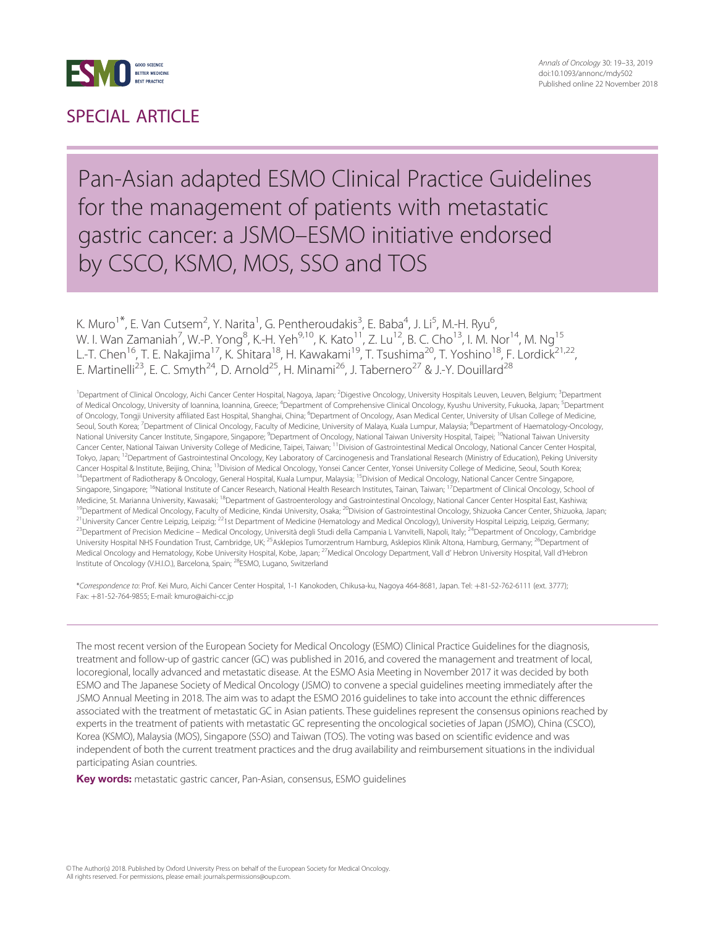

### SPECIAL ARTICLE

### Pan-Asian adapted ESMO Clinical Practice Guidelines for the management of patients with metastatic gastric cancer: a JSMO–ESMO initiative endorsed by CSCO, KSMO, MOS, SSO and TOS

K. Muro<sup>1\*</sup>, E. Van Cutsem<sup>2</sup>, Y. Narita<sup>1</sup>, G. Pentheroudakis<sup>3</sup>, E. Baba<sup>4</sup>, J. Li<sup>5</sup>, M.-H. Ryu<sup>6</sup> , W. I. Wan Zamaniah<sup>7</sup>, W.-P. Yong<sup>8</sup>, K.-H. Yeh<sup>9,10</sup>, K. Kato<sup>11</sup>, Z. Lu<sup>12</sup>, B. C. Cho<sup>13</sup>, I. M. Nor<sup>14</sup>, M. Ng<sup>15</sup> L.-T. Chen<sup>16</sup>, T. E. Nakajima<sup>17</sup>, K. Shitara<sup>18</sup>, H. Kawakami<sup>19</sup>, T. Tsushima<sup>20</sup>, T. Yoshino<sup>18</sup>, F. Lordick<sup>21,22</sup>, E. Martinelli<sup>23</sup>, E. C. Smyth<sup>24</sup>, D. Arnold<sup>25</sup>, H. Minami<sup>26</sup>, J. Tabernero<sup>27</sup> & J.-Y. Douillard<sup>28</sup>

<sup>1</sup> Department of Clinical Oncology, Aichi Cancer Center Hospital, Nagoya, Japan; <sup>2</sup> Digestive Oncology, University Hospitals Leuven, Leuven, Belgium; <sup>3</sup> Department of Medical Oncology, University of Ioannina, Ioannina, Greece; <sup>4</sup>Department of Comprehensive Clinical Oncology, Kyushu University, Fukuoka, Japan; <sup>5</sup>Department of Oncology, Tongji University affiliated East Hospital, Shanghai, China; <sup>6</sup>Department of Oncology, Asan Medical Center, University of Ulsan College of Medicine, Seoul, South Korea; <sup>7</sup>Department of Clinical Oncology, Faculty of Medicine, University of Malaya, Kuala Lumpur, Malaysia; <sup>8</sup>Department of Haematology-Oncology National University Cancer Institute, Singapore, Singapore; <sup>9</sup>Department of Oncology, National Taiwan University Hospital, Taipei; <sup>10</sup>National Taiwan University Cancer Center, National Taiwan University College of Medicine, Taipei, Taiwan; 11Division of Gastrointestinal Medical Oncology, National Cancer Center Hospital, Tokyo, Japan; <sup>12</sup>Department of Gastrointestinal Oncology, Key Laboratory of Carcinogenesis and Translational Research (Ministry of Education), Peking University Cancer Hospital & Institute, Beijing, China; 13Division of Medical Oncology, Yonsei Cancer Center, Yonsei University College of Medicine, Seoul, South Korea; <sup>14</sup>Department of Radiotherapy & Oncology, General Hospital, Kuala Lumpur, Malaysia; <sup>15</sup>Division of Medical Oncology, National Cancer Centre Singapore, Singapore, Singapore; <sup>16</sup>National Institute of Cancer Research, National Health Research Institutes, Tainan, Taiwan; <sup>17</sup>Department of Clinical Oncology, School of Medicine, St. Marianna University, Kawasaki; <sup>18</sup>Department of Gastroenterology and Gastrointestinal Oncology, National Cancer Center Hospital East, Kashiwa; <sup>19</sup>Department of Medical Oncology, Faculty of Medicine, Kindai University, Osaka; <sup>20</sup>Division of Gastrointestinal Oncology, Shizuoka Cancer Center, Shizuoka, Japan; <sup>21</sup>University Cancer Centre Leipzig, Leipzig; <sup>22</sup>1st Department of Medicine (Hematology and Medical Oncology), University Hospital Leipzig, Leipzig, Germany; <sup>23</sup>Department of Precision Medicine – Medical Oncology, Università degli Studi della Campania L Vanvitelli, Napoli, Italy; <sup>24</sup>Department of Oncology, Cambridge University Hospital NHS Foundation Trust, Cambridge, UK; <sup>25</sup>Asklepios Tumorzentrum Hamburg, Asklepios Klinik Altona, Hamburg, Germany; <sup>26</sup>Department of Medical Oncology and Hematology, Kobe University Hospital, Kobe, Japan; <sup>27</sup>Medical Oncology Department, Vall d'Hebron University Hospital, Vall d'Hebron Institute of Oncology (V.H.I.O.), Barcelona, Spain; 28ESMO, Lugano, Switzerland

\*Correspondence to: Prof. Kei Muro, Aichi Cancer Center Hospital, 1-1 Kanokoden, Chikusa-ku, Nagoya 464-8681, Japan. Tel: +81-52-762-6111 (ext. 3777); Fax: þ81-52-764-9855; E-mail: kmuro@aichi-cc.jp

The most recent version of the European Society for Medical Oncology (ESMO) Clinical Practice Guidelines for the diagnosis, treatment and follow-up of gastric cancer (GC) was published in 2016, and covered the management and treatment of local, locoregional, locally advanced and metastatic disease. At the ESMO Asia Meeting in November 2017 it was decided by both ESMO and The Japanese Society of Medical Oncology (JSMO) to convene a special guidelines meeting immediately after the JSMO Annual Meeting in 2018. The aim was to adapt the ESMO 2016 guidelines to take into account the ethnic differences associated with the treatment of metastatic GC in Asian patients. These guidelines represent the consensus opinions reached by experts in the treatment of patients with metastatic GC representing the oncological societies of Japan (JSMO), China (CSCO), Korea (KSMO), Malaysia (MOS), Singapore (SSO) and Taiwan (TOS). The voting was based on scientific evidence and was independent of both the current treatment practices and the drug availability and reimbursement situations in the individual participating Asian countries.

Key words: metastatic gastric cancer, Pan-Asian, consensus, ESMO quidelines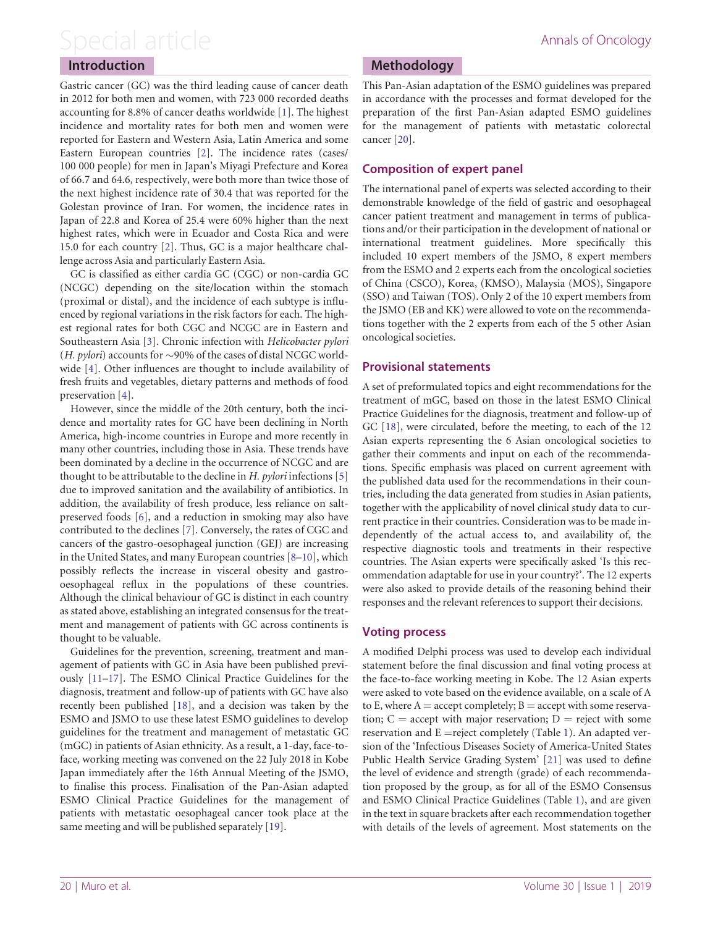### <span id="page-1-0"></span>Introduction

Gastric cancer (GC) was the third leading cause of cancer death in 2012 for both men and women, with 723 000 recorded deaths accounting for 8.8% of cancer deaths worldwide [\[1\]](#page-10-0). The highest incidence and mortality rates for both men and women were reported for Eastern and Western Asia, Latin America and some Eastern European countries [\[2\]](#page-10-0). The incidence rates (cases/ 100 000 people) for men in Japan's Miyagi Prefecture and Korea of 66.7 and 64.6, respectively, were both more than twice those of the next highest incidence rate of 30.4 that was reported for the Golestan province of Iran. For women, the incidence rates in Japan of 22.8 and Korea of 25.4 were 60% higher than the next highest rates, which were in Ecuador and Costa Rica and were 15.0 for each country [[2](#page-10-0)]. Thus, GC is a major healthcare challenge across Asia and particularly Eastern Asia.

GC is classified as either cardia GC (CGC) or non-cardia GC (NCGC) depending on the site/location within the stomach (proximal or distal), and the incidence of each subtype is influenced by regional variations in the risk factors for each. The highest regional rates for both CGC and NCGC are in Eastern and Southeastern Asia [\[3\]](#page-11-0). Chronic infection with Helicobacter pylori (*H. pylori*) accounts for  $\sim$ 90% of the cases of distal NCGC worldwide [\[4](#page-11-0)]. Other influences are thought to include availability of fresh fruits and vegetables, dietary patterns and methods of food preservation [[4](#page-11-0)].

However, since the middle of the 20th century, both the incidence and mortality rates for GC have been declining in North America, high-income countries in Europe and more recently in many other countries, including those in Asia. These trends have been dominated by a decline in the occurrence of NCGC and are thought to be attributable to the decline in  $H$ . *pylori* infections [\[5\]](#page-11-0) due to improved sanitation and the availability of antibiotics. In addition, the availability of fresh produce, less reliance on saltpreserved foods [\[6\]](#page-11-0), and a reduction in smoking may also have contributed to the declines [[7](#page-11-0)]. Conversely, the rates of CGC and cancers of the gastro-oesophageal junction (GEJ) are increasing in the United States, and many European countries [\[8–10\]](#page-11-0), which possibly reflects the increase in visceral obesity and gastrooesophageal reflux in the populations of these countries. Although the clinical behaviour of GC is distinct in each country as stated above, establishing an integrated consensus for the treatment and management of patients with GC across continents is thought to be valuable.

Guidelines for the prevention, screening, treatment and management of patients with GC in Asia have been published previously [\[11–17](#page-11-0)]. The ESMO Clinical Practice Guidelines for the diagnosis, treatment and follow-up of patients with GC have also recently been published [[18](#page-11-0)], and a decision was taken by the ESMO and JSMO to use these latest ESMO guidelines to develop guidelines for the treatment and management of metastatic GC (mGC) in patients of Asian ethnicity. As a result, a 1-day, face-toface, working meeting was convened on the 22 July 2018 in Kobe Japan immediately after the 16th Annual Meeting of the JSMO, to finalise this process. Finalisation of the Pan-Asian adapted ESMO Clinical Practice Guidelines for the management of patients with metastatic oesophageal cancer took place at the same meeting and will be published separately [[19\]](#page-11-0).

### Methodology

This Pan-Asian adaptation of the ESMO guidelines was prepared in accordance with the processes and format developed for the preparation of the first Pan-Asian adapted ESMO guidelines for the management of patients with metastatic colorectal cancer [\[20](#page-11-0)].

### Composition of expert panel

The international panel of experts was selected according to their demonstrable knowledge of the field of gastric and oesophageal cancer patient treatment and management in terms of publications and/or their participation in the development of national or international treatment guidelines. More specifically this included 10 expert members of the JSMO, 8 expert members from the ESMO and 2 experts each from the oncological societies of China (CSCO), Korea, (KMSO), Malaysia (MOS), Singapore (SSO) and Taiwan (TOS). Only 2 of the 10 expert members from the JSMO (EB and KK) were allowed to vote on the recommendations together with the 2 experts from each of the 5 other Asian oncological societies.

### Provisional statements

A set of preformulated topics and eight recommendations for the treatment of mGC, based on those in the latest ESMO Clinical Practice Guidelines for the diagnosis, treatment and follow-up of GC [[18](#page-11-0)], were circulated, before the meeting, to each of the 12 Asian experts representing the 6 Asian oncological societies to gather their comments and input on each of the recommendations. Specific emphasis was placed on current agreement with the published data used for the recommendations in their countries, including the data generated from studies in Asian patients, together with the applicability of novel clinical study data to current practice in their countries. Consideration was to be made independently of the actual access to, and availability of, the respective diagnostic tools and treatments in their respective countries. The Asian experts were specifically asked 'Is this recommendation adaptable for use in your country?'. The 12 experts were also asked to provide details of the reasoning behind their responses and the relevant references to support their decisions.

### Voting process

A modified Delphi process was used to develop each individual statement before the final discussion and final voting process at the face-to-face working meeting in Kobe. The 12 Asian experts were asked to vote based on the evidence available, on a scale of A to E, where  $A =$  accept completely;  $B =$  accept with some reservation;  $C =$  accept with major reservation;  $D =$  reject with some reservation and  $E =$ reject completely (Table [1](#page-2-0)). An adapted version of the 'Infectious Diseases Society of America-United States Public Health Service Grading System' [[21](#page-11-0)] was used to define the level of evidence and strength (grade) of each recommendation proposed by the group, as for all of the ESMO Consensus and ESMO Clinical Practice Guidelines (Table [1](#page-2-0)), and are given in the text in square brackets after each recommendation together with details of the levels of agreement. Most statements on the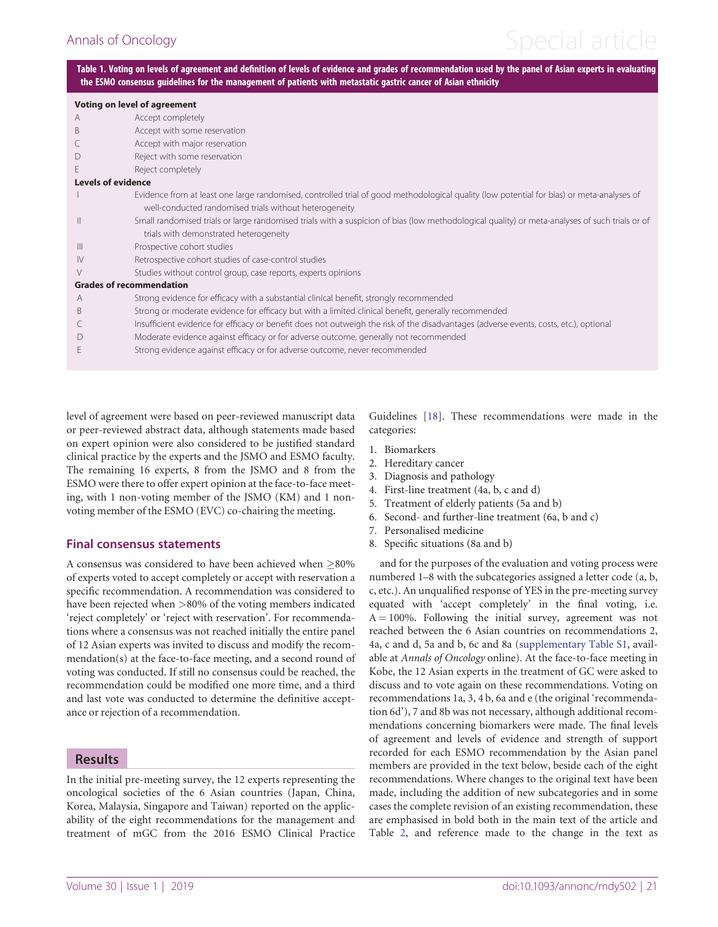# <span id="page-2-0"></span>Annals of Oncology and the Special article

Table 1. Voting on levels of agreement and definition of levels of evidence and grades of recommendation used by the panel of Asian experts in evaluating the ESMO consensus guidelines for the management of patients with metastatic gastric cancer of Asian ethnicity

| <b>Voting on level of agreement</b> |                                                                                                                                                |
|-------------------------------------|------------------------------------------------------------------------------------------------------------------------------------------------|
| A                                   | Accept completely                                                                                                                              |
| B                                   | Accept with some reservation                                                                                                                   |
|                                     | Accept with major reservation                                                                                                                  |
|                                     | Reject with some reservation                                                                                                                   |
| E                                   | Reject completely                                                                                                                              |
| <b>Levels of evidence</b>           |                                                                                                                                                |
|                                     | Evidence from at least one large randomised, controlled trial of good methodological quality (low potential for bias) or meta-analyses of      |
|                                     | well-conducted randomised trials without heterogeneity                                                                                         |
| Ш                                   | Small randomised trials or large randomised trials with a suspicion of bias (low methodological quality) or meta-analyses of such trials or of |
|                                     | trials with demonstrated heterogeneity                                                                                                         |
| $\mathbb{H}$                        | Prospective cohort studies                                                                                                                     |
| $\mathsf{IV}$                       | Retrospective cohort studies of case-control studies                                                                                           |
| $\vee$                              | Studies without control group, case reports, experts opinions                                                                                  |
| <b>Grades of recommendation</b>     |                                                                                                                                                |
| A                                   | Strong evidence for efficacy with a substantial clinical benefit, strongly recommended                                                         |
| B                                   | Strong or moderate evidence for efficacy but with a limited clinical benefit, generally recommended                                            |
|                                     | Insufficient evidence for efficacy or benefit does not outweigh the risk of the disadvantages (adverse events, costs, etc.), optional          |
|                                     | Moderate evidence against efficacy or for adverse outcome, generally not recommended                                                           |
|                                     | Strong evidence against efficacy or for adverse outcome, never recommended                                                                     |

level of agreement were based on peer-reviewed manuscript data or peer-reviewed abstract data, although statements made based on expert opinion were also considered to be justified standard clinical practice by the experts and the JSMO and ESMO faculty. The remaining 16 experts, 8 from the JSMO and 8 from the ESMO were there to offer expert opinion at the face-to-face meeting, with 1 non-voting member of the JSMO (KM) and 1 nonvoting member of the ESMO (EVC) co-chairing the meeting.

### Final consensus statements

A consensus was considered to have been achieved when  $>80\%$ of experts voted to accept completely or accept with reservation a specific recommendation. A recommendation was considered to have been rejected when >80% of the voting members indicated 'reject completely' or 'reject with reservation'. For recommendations where a consensus was not reached initially the entire panel of 12 Asian experts was invited to discuss and modify the recommendation(s) at the face-to-face meeting, and a second round of voting was conducted. If still no consensus could be reached, the recommendation could be modified one more time, and a third and last vote was conducted to determine the definitive acceptance or rejection of a recommendation.

### Results

In the initial pre-meeting survey, the 12 experts representing the oncological societies of the 6 Asian countries (Japan, China, Korea, Malaysia, Singapore and Taiwan) reported on the applicability of the eight recommendations for the management and treatment of mGC from the 2016 ESMO Clinical Practice Guidelines [[18\]](#page-11-0). These recommendations were made in the categories:

- 1. Biomarkers
- 2. Hereditary cancer
- 3. Diagnosis and pathology
- 4. First-line treatment (4a, b, c and d)
- 5. Treatment of elderly patients (5a and b)
- 6. Second- and further-line treatment (6a, b and c)
- 7. Personalised medicine
- 8. Specific situations (8a and b)

and for the purposes of the evaluation and voting process were numbered 1–8 with the subcategories assigned a letter code (a, b, c, etc.). An unqualified response of YES in the pre-meeting survey equated with 'accept completely' in the final voting, i.e.  $A = 100\%$ . Following the initial survey, agreement was not reached between the 6 Asian countries on recommendations 2, 4a, c and d, 5a and b, 6c and 8a [\(supplementary Table S1](https://academic.oup.com/annonc/article-lookup/doi/10.1093/annonc/mdy502#supplementary-data), available at Annals of Oncology online). At the face-to-face meeting in Kobe, the 12 Asian experts in the treatment of GC were asked to discuss and to vote again on these recommendations. Voting on recommendations 1a, 3, 4 b, 6a and e (the original 'recommendation 6d'), 7 and 8b was not necessary, although additional recommendations concerning biomarkers were made. The final levels of agreement and levels of evidence and strength of support recorded for each ESMO recommendation by the Asian panel members are provided in the text below, beside each of the eight recommendations. Where changes to the original text have been made, including the addition of new subcategories and in some cases the complete revision of an existing recommendation, these are emphasised in bold both in the main text of the article and Table [2](#page-3-0), and reference made to the change in the text as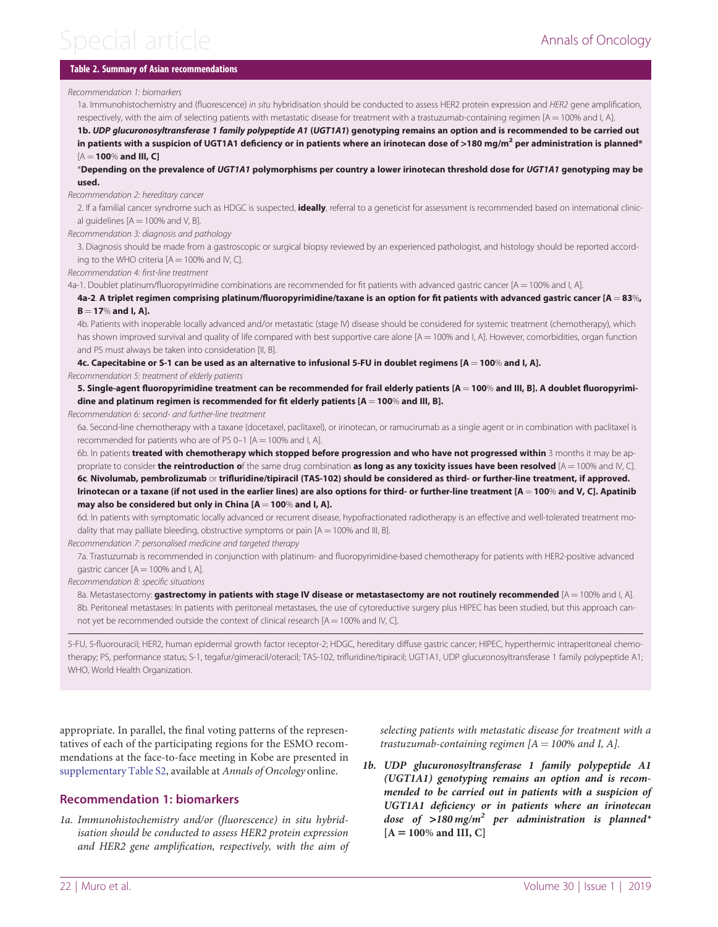# <span id="page-3-0"></span> $S$ pecial article  $\overline{S}$

### Table 2. Summary of Asian recommendations

#### Recommendation 1: biomarkers

1a. Immunohistochemistry and (fluorescence) in situ hybridisation should be conducted to assess HER2 protein expression and HER2 gene amplification, respectively, with the aim of selecting patients with metastatic disease for treatment with a trastuzumab-containing regimen  $[A = 100\%$  and I, A].

1b. UDP glucuronosyltransferase 1 family polypeptide A1 (UGT1A1) genotyping remains an option and is recommended to be carried out in patients with a suspicion of UGT1A1 deficiency or in patients where an irinotecan dose of >180 mg/m<sup>2</sup> per administration is planned\*  $[A = 100\%$  and III, C]

\*Depending on the prevalence of UGT1A1 polymorphisms per country a lower irinotecan threshold dose for UGT1A1 genotyping may be used.

Recommendation 2: hereditary cancer

2. If a familial cancer syndrome such as HDGC is suspected. **ideally**, referral to a geneticist for assessment is recommended based on international clinical guidelines  $[A = 100\%$  and V, B].

Recommendation 3: diagnosis and pathology

3. Diagnosis should be made from a gastroscopic or surgical biopsy reviewed by an experienced pathologist, and histology should be reported according to the WHO criteria  $[A = 100\%$  and IV, Cl.

Recommendation 4: first-line treatment

4a-1. Doublet platinum/fluoropyrimidine combinations are recommended for fit patients with advanced gastric cancer  $[A = 100\%$  and l. A].

4a-2. A triplet regimen comprising platinum/fluoropyrimidine/taxane is an option for fit patients with advanced gastric cancer [A = 83%,  $B = 17%$  and I, Al.

4b. Patients with inoperable locally advanced and/or metastatic (stage IV) disease should be considered for systemic treatment (chemotherapy), which has shown improved survival and quality of life compared with best supportive care alone  $[A = 100\%$  and I, A]. However, comorbidities, organ function and PS must always be taken into consideration [II, B].

4c. Capecitabine or S-1 can be used as an alternative to infusional 5-FU in doublet regimens [A = 100% and I, A].

Recommendation 5: treatment of elderly patients

5. Single-agent fluoropyrimidine treatment can be recommended for frail elderly patients [A = 100% and III, B]. A doublet fluoropyrimidine and platinum regimen is recommended for fit elderly patients  $[A = 100\%$  and III, B].

Recommendation 6: second- and further-line treatment

6a. Second-line chemotherapy with a taxane (docetaxel, paclitaxel), or irinotecan, or ramucirumab as a single agent or in combination with paclitaxel is recommended for patients who are of PS 0-1 [A  $=$  100% and I, A].

6b. In patients treated with chemotherapy which stopped before progression and who have not progressed within 3 months it may be appropriate to consider the reintroduction of the same drug combination as long as any toxicity issues have been resolved  $[A = 100\%$  and IV, C]. 6c. Nivolumab, pembrolizumab or trifluridine/tipiracil (TAS-102) should be considered as third- or further-line treatment, if approved. Irinotecan or a taxane (if not used in the earlier lines) are also options for third- or further-line treatment  $[A = 100\%$  and V, C]. Apatinib may also be considered but only in China  $[A = 100\%$  and I, A].

6d. In patients with symptomatic locally advanced or recurrent disease, hypofractionated radiotherapy is an effective and well-tolerated treatment modality that may palliate bleeding, obstructive symptoms or pain  $[A = 100\%$  and III, B].

Recommendation 7: personalised medicine and targeted therapy

7a. Trastuzumab is recommended in conjunction with platinum- and fluoropyrimidine-based chemotherapy for patients with HER2-positive advanced gastric cancer  $[A = 100\%$  and I, A].

Recommendation 8: specific situations

8a. Metastasectomy: gastrectomy in patients with stage IV disease or metastasectomy are not routinely recommended [A = 100% and I, A]. 8b. Peritoneal metastases: In patients with peritoneal metastases, the use of cytoreductive surgery plus HIPEC has been studied, but this approach cannot yet be recommended outside the context of clinical research  $[A = 100\%$  and IV, C].

5-FU, 5-fluorouracil; HER2, human epidermal growth factor receptor-2; HDGC, hereditary diffuse gastric cancer; HIPEC, hyperthermic intraperitoneal chemotherapy; PS, performance status; S-1, tegafur/gimeracil/oteracil; TAS-102, trifluridine/tipiracil; UGT1A1, UDP glucuronosyltransferase 1 family polypeptide A1; WHO, World Health Organization.

appropriate. In parallel, the final voting patterns of the representatives of each of the participating regions for the ESMO recommendations at the face-to-face meeting in Kobe are presented in [supplementary Table S2,](https://academic.oup.com/annonc/article-lookup/doi/10.1093/annonc/mdy502#supplementary-data) available at Annals of Oncology online.

### Recommendation 1: biomarkers

1a. Immunohistochemistry and/or (fluorescence) in situ hybridisation should be conducted to assess HER2 protein expression and HER2 gene amplification, respectively, with the aim of selecting patients with metastatic disease for treatment with a trastuzumab-containing regimen  $[A = 100\%$  and I, A].

1b. UDP glucuronosyltransferase 1 family polypeptide A1 (UGT1A1) genotyping remains an option and is recommended to be carried out in patients with a suspicion of UGT1A1 deficiency or in patients where an irinotecan dose of  $>180$  mg/m<sup>2</sup> per administration is planned<sup>\*</sup>  $[A = 100\%$  and III, C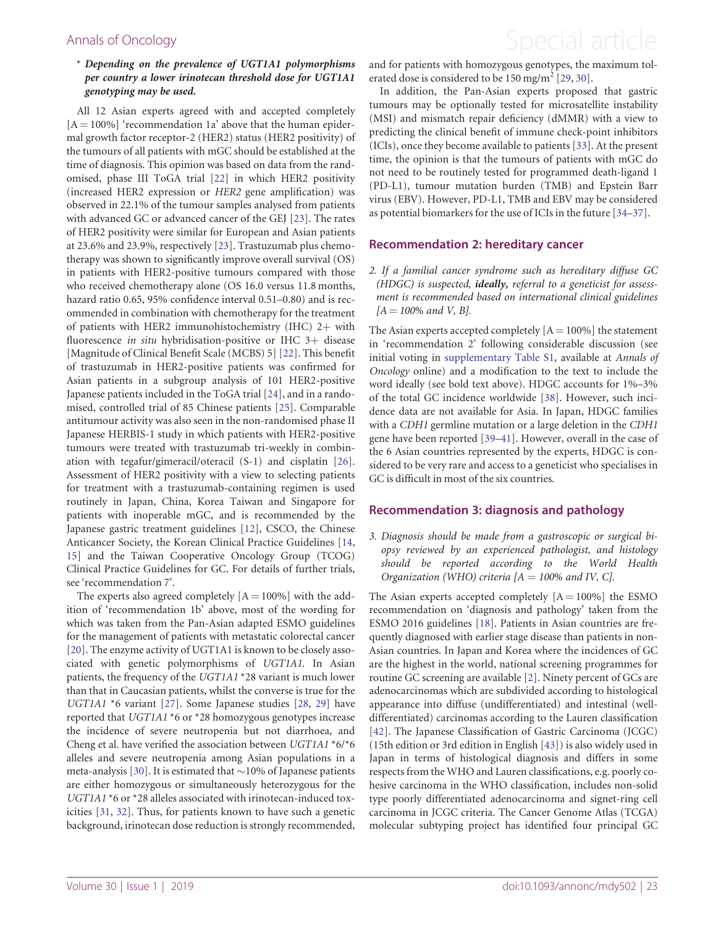#### \* Depending on the prevalence of UGT1A1 polymorphisms per country a lower irinotecan threshold dose for UGT1A1 genotyping may be used.

All 12 Asian experts agreed with and accepted completely  $[A = 100\%]$  'recommendation 1a' above that the human epidermal growth factor receptor-2 (HER2) status (HER2 positivity) of the tumours of all patients with mGC should be established at the time of diagnosis. This opinion was based on data from the randomised, phase III ToGA trial [[22\]](#page-11-0) in which HER2 positivity (increased HER2 expression or HER2 gene amplification) was observed in 22.1% of the tumour samples analysed from patients with advanced GC or advanced cancer of the GEJ [[23\]](#page-11-0). The rates of HER2 positivity were similar for European and Asian patients at 23.6% and 23.9%, respectively [\[23](#page-11-0)]. Trastuzumab plus chemotherapy was shown to significantly improve overall survival (OS) in patients with HER2-positive tumours compared with those who received chemotherapy alone (OS 16.0 versus 11.8 months, hazard ratio 0.65, 95% confidence interval 0.51–0.80) and is recommended in combination with chemotherapy for the treatment of patients with HER2 immunohistochemistry (IHC)  $2+$  with fluorescence in situ hybridisation-positive or IHC  $3+$  disease [Magnitude of Clinical Benefit Scale (MCBS) 5] [[22\]](#page-11-0). This benefit of trastuzumab in HER2-positive patients was confirmed for Asian patients in a subgroup analysis of 101 HER2-positive Japanese patients included in the ToGA trial [\[24](#page-11-0)], and in a randomised, controlled trial of 85 Chinese patients [[25](#page-11-0)]. Comparable antitumour activity was also seen in the non-randomised phase II Japanese HERBIS-1 study in which patients with HER2-positive tumours were treated with trastuzumab tri-weekly in combination with tegafur/gimeracil/oteracil (S-1) and cisplatin [[26](#page-11-0)]. Assessment of HER2 positivity with a view to selecting patients for treatment with a trastuzumab-containing regimen is used routinely in Japan, China, Korea Taiwan and Singapore for patients with inoperable mGC, and is recommended by the Japanese gastric treatment guidelines [\[12\]](#page-11-0), CSCO, the Chinese Anticancer Society, the Korean Clinical Practice Guidelines [[14,](#page-11-0) [15\]](#page-11-0) and the Taiwan Cooperative Oncology Group (TCOG) Clinical Practice Guidelines for GC. For details of further trials, see 'recommendation 7'.

The experts also agreed completely  $[A = 100\%]$  with the addition of 'recommendation 1b' above, most of the wording for which was taken from the Pan-Asian adapted ESMO guidelines for the management of patients with metastatic colorectal cancer [\[20](#page-11-0)]. The enzyme activity of UGT1A1 is known to be closely associated with genetic polymorphisms of UGT1A1. In Asian patients, the frequency of the UGT1A1 \*28 variant is much lower than that in Caucasian patients, whilst the converse is true for the UGT1A1 \*6 variant [\[27\]](#page-11-0). Some Japanese studies [\[28](#page-11-0), [29](#page-11-0)] have reported that UGT1A1 \*6 or \*28 homozygous genotypes increase the incidence of severe neutropenia but not diarrhoea, and Cheng et al. have verified the association between UGT1A1 \*6/\*6 alleles and severe neutropenia among Asian populations in a meta-analysis [[30](#page-11-0)]. It is estimated that  $\sim$ 10% of Japanese patients are either homozygous or simultaneously heterozygous for the UGT1A1 \*6 or \*28 alleles associated with irinotecan-induced toxicities [\[31](#page-11-0), [32](#page-11-0)]. Thus, for patients known to have such a genetic background, irinotecan dose reduction is strongly recommended,

# <span id="page-4-0"></span>Annals of Oncology **Annals of Oncology Special article**

and for patients with homozygous genotypes, the maximum tol-erated dose is considered to be 150 mg/m<sup>2</sup> [\[29](#page-11-0), [30](#page-11-0)].

In addition, the Pan-Asian experts proposed that gastric tumours may be optionally tested for microsatellite instability (MSI) and mismatch repair deficiency (dMMR) with a view to predicting the clinical benefit of immune check-point inhibitors (ICIs), once they become available to patients [[33\]](#page-11-0). At the present time, the opinion is that the tumours of patients with mGC do not need to be routinely tested for programmed death-ligand 1 (PD-L1), tumour mutation burden (TMB) and Epstein Barr virus (EBV). However, PD-L1, TMB and EBV may be considered as potential biomarkers for the use of ICIs in the future [[34](#page-11-0)–[37](#page-11-0)].

#### Recommendation 2: hereditary cancer

2. If a familial cancer syndrome such as hereditary diffuse GC (HDGC) is suspected, ideally, referral to a geneticist for assessment is recommended based on international clinical guidelines  $[A = 100\%$  and V, B].

The Asian experts accepted completely  $[A = 100\%]$  the statement in 'recommendation 2' following considerable discussion (see initial voting in [supplementary Table S1,](https://academic.oup.com/annonc/article-lookup/doi/10.1093/annonc/mdy502#supplementary-data) available at Annals of Oncology online) and a modification to the text to include the word ideally (see bold text above). HDGC accounts for 1%–3% of the total GC incidence worldwide [[38\]](#page-11-0). However, such incidence data are not available for Asia. In Japan, HDGC families with a CDH1 germline mutation or a large deletion in the CDH1 gene have been reported [\[39–41](#page-11-0)]. However, overall in the case of the 6 Asian countries represented by the experts, HDGC is considered to be very rare and access to a geneticist who specialises in GC is difficult in most of the six countries.

#### Recommendation 3: diagnosis and pathology

3. Diagnosis should be made from a gastroscopic or surgical biopsy reviewed by an experienced pathologist, and histology should be reported according to the World Health Organization (WHO) criteria  $[A = 100\%$  and IV, C.

The Asian experts accepted completely  $[A = 100\%]$  the ESMO recommendation on 'diagnosis and pathology' taken from the ESMO 2016 guidelines [\[18](#page-11-0)]. Patients in Asian countries are frequently diagnosed with earlier stage disease than patients in non-Asian countries. In Japan and Korea where the incidences of GC are the highest in the world, national screening programmes for routine GC screening are available [\[2](#page-10-0)]. Ninety percent of GCs are adenocarcinomas which are subdivided according to histological appearance into diffuse (undifferentiated) and intestinal (welldifferentiated) carcinomas according to the Lauren classification [[42\]](#page-11-0). The Japanese Classification of Gastric Carcinoma (JCGC) (15th edition or 3rd edition in English [[43\]](#page-11-0)) is also widely used in Japan in terms of histological diagnosis and differs in some respects from the WHO and Lauren classifications, e.g. poorly cohesive carcinoma in the WHO classification, includes non-solid type poorly differentiated adenocarcinoma and signet-ring cell carcinoma in JCGC criteria. The Cancer Genome Atlas (TCGA) molecular subtyping project has identified four principal GC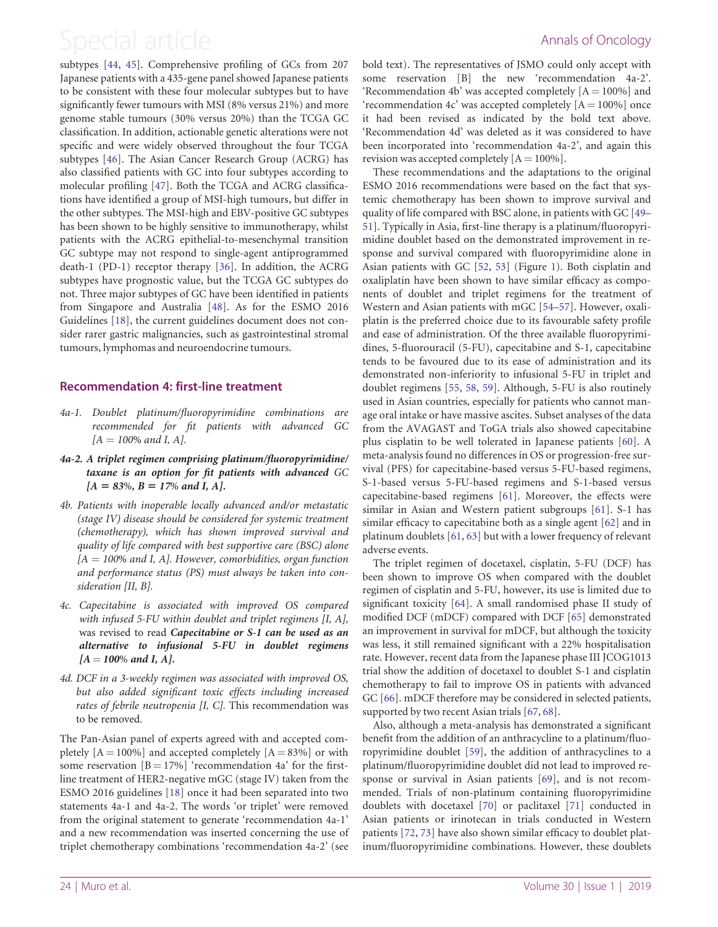<span id="page-5-0"></span>subtypes [[44,](#page-11-0) [45\]](#page-11-0). Comprehensive profiling of GCs from 207 Japanese patients with a 435-gene panel showed Japanese patients to be consistent with these four molecular subtypes but to have significantly fewer tumours with MSI (8% versus 21%) and more genome stable tumours (30% versus 20%) than the TCGA GC classification. In addition, actionable genetic alterations were not specific and were widely observed throughout the four TCGA subtypes [\[46](#page-11-0)]. The Asian Cancer Research Group (ACRG) has also classified patients with GC into four subtypes according to molecular profiling [\[47](#page-12-0)]. Both the TCGA and ACRG classifications have identified a group of MSI-high tumours, but differ in the other subtypes. The MSI-high and EBV-positive GC subtypes has been shown to be highly sensitive to immunotherapy, whilst patients with the ACRG epithelial-to-mesenchymal transition GC subtype may not respond to single-agent antiprogrammed death-1 (PD-1) receptor therapy [\[36](#page-11-0)]. In addition, the ACRG subtypes have prognostic value, but the TCGA GC subtypes do not. Three major subtypes of GC have been identified in patients from Singapore and Australia [[48\]](#page-12-0). As for the ESMO 2016 Guidelines [\[18](#page-11-0)], the current guidelines document does not consider rarer gastric malignancies, such as gastrointestinal stromal tumours, lymphomas and neuroendocrine tumours.

### Recommendation 4: first-line treatment

- 4a-1. Doublet platinum/fluoropyrimidine combinations are recommended for fit patients with advanced GC  $[A = 100\%$  and I, A].
- 4a-2. A triplet regimen comprising platinum/fluoropyrimidine/ taxane is an option for fit patients with advanced GC  $[A = 83\%, B = 17\% \text{ and } I, A].$
- 4b. Patients with inoperable locally advanced and/or metastatic (stage IV) disease should be considered for systemic treatment (chemotherapy), which has shown improved survival and quality of life compared with best supportive care (BSC) alone  $[A = 100\%$  and I, A]. However, comorbidities, organ function and performance status (PS) must always be taken into consideration [II, B].
- 4c. Capecitabine is associated with improved OS compared with infused 5-FU within doublet and triplet regimens [I, A], was revised to read Capecitabine or S-1 can be used as an alternative to infusional 5-FU in doublet regimens  $[A = 100\%$  and I, A].
- 4d. DCF in a 3-weekly regimen was associated with improved OS, but also added significant toxic effects including increased rates of febrile neutropenia [I, C]. This recommendation was to be removed.

The Pan-Asian panel of experts agreed with and accepted completely  $[A = 100\%]$  and accepted completely  $[A = 83\%]$  or with some reservation  $[B = 17\%]$  'recommendation 4a' for the firstline treatment of HER2-negative mGC (stage IV) taken from the ESMO 2016 guidelines [[18\]](#page-11-0) once it had been separated into two statements 4a-1 and 4a-2. The words 'or triplet' were removed from the original statement to generate 'recommendation 4a-1' and a new recommendation was inserted concerning the use of triplet chemotherapy combinations 'recommendation 4a-2' (see bold text). The representatives of JSMO could only accept with some reservation [B] the new 'recommendation 4a-2'. 'Recommendation 4b' was accepted completely  $[A = 100\%]$  and 'recommendation 4c' was accepted completely  $[A = 100\%]$  once it had been revised as indicated by the bold text above. 'Recommendation 4d' was deleted as it was considered to have been incorporated into 'recommendation 4a-2', and again this revision was accepted completely  $[A = 100\%]$ .

These recommendations and the adaptations to the original ESMO 2016 recommendations were based on the fact that systemic chemotherapy has been shown to improve survival and quality of life compared with BSC alone, in patients with GC [[49–](#page-12-0) [51](#page-12-0)]. Typically in Asia, first-line therapy is a platinum/fluoropyrimidine doublet based on the demonstrated improvement in response and survival compared with fluoropyrimidine alone in Asian patients with GC [[52,](#page-12-0) [53\]](#page-12-0) (Figure [1\)](#page-6-0). Both cisplatin and oxaliplatin have been shown to have similar efficacy as components of doublet and triplet regimens for the treatment of Western and Asian patients with mGC [\[54](#page-12-0)–[57](#page-12-0)]. However, oxaliplatin is the preferred choice due to its favourable safety profile and ease of administration. Of the three available fluoropyrimidines, 5-fluorouracil (5-FU), capecitabine and S-1, capecitabine tends to be favoured due to its ease of administration and its demonstrated non-inferiority to infusional 5-FU in triplet and doublet regimens [[55](#page-12-0), [58](#page-12-0), [59\]](#page-12-0). Although, 5-FU is also routinely used in Asian countries, especially for patients who cannot manage oral intake or have massive ascites. Subset analyses of the data from the AVAGAST and ToGA trials also showed capecitabine plus cisplatin to be well tolerated in Japanese patients [[60\]](#page-12-0). A meta-analysis found no differences in OS or progression-free survival (PFS) for capecitabine-based versus 5-FU-based regimens, S-1-based versus 5-FU-based regimens and S-1-based versus capecitabine-based regimens [[61](#page-12-0)]. Moreover, the effects were similar in Asian and Western patient subgroups [[61\]](#page-12-0). S-1 has similar efficacy to capecitabine both as a single agent [\[62](#page-12-0)] and in platinum doublets [[61,](#page-12-0) [63](#page-12-0)] but with a lower frequency of relevant adverse events.

The triplet regimen of docetaxel, cisplatin, 5-FU (DCF) has been shown to improve OS when compared with the doublet regimen of cisplatin and 5-FU, however, its use is limited due to significant toxicity [\[64](#page-12-0)]. A small randomised phase II study of modified DCF (mDCF) compared with DCF [\[65\]](#page-12-0) demonstrated an improvement in survival for mDCF, but although the toxicity was less, it still remained significant with a 22% hospitalisation rate. However, recent data from the Japanese phase III JCOG1013 trial show the addition of docetaxel to doublet S-1 and cisplatin chemotherapy to fail to improve OS in patients with advanced GC [[66\]](#page-12-0). mDCF therefore may be considered in selected patients, supported by two recent Asian trials [\[67](#page-12-0), [68](#page-12-0)].

Also, although a meta-analysis has demonstrated a significant benefit from the addition of an anthracycline to a platinum/fluoropyrimidine doublet [\[59](#page-12-0)], the addition of anthracyclines to a platinum/fluoropyrimidine doublet did not lead to improved response or survival in Asian patients [\[69](#page-12-0)], and is not recommended. Trials of non-platinum containing fluoropyrimidine doublets with docetaxel [[70](#page-12-0)] or paclitaxel [\[71](#page-12-0)] conducted in Asian patients or irinotecan in trials conducted in Western patients [\[72](#page-12-0), [73\]](#page-12-0) have also shown similar efficacy to doublet platinum/fluoropyrimidine combinations. However, these doublets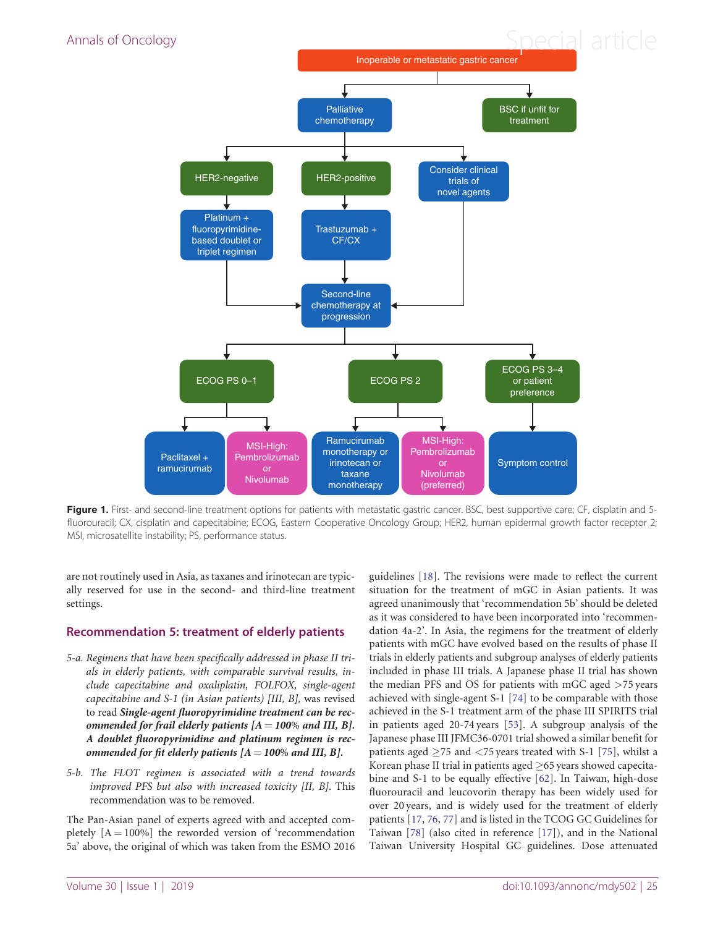<span id="page-6-0"></span>

Figure 1. First- and second-line treatment options for patients with metastatic gastric cancer. BSC, best supportive care; CF, cisplatin and 5fluorouracil; CX, cisplatin and capecitabine; ECOG, Eastern Cooperative Oncology Group; HER2, human epidermal growth factor receptor 2; MSI, microsatellite instability; PS, performance status.

are not routinely used in Asia, as taxanes and irinotecan are typically reserved for use in the second- and third-line treatment settings.

#### Recommendation 5: treatment of elderly patients

- 5-a. Regimens that have been specifically addressed in phase II trials in elderly patients, with comparable survival results, include capecitabine and oxaliplatin, FOLFOX, single-agent capecitabine and S-1 (in Asian patients) [III, B], was revised to read Single-agent fluoropyrimidine treatment can be recommended for frail elderly patients  $[A = 100\%$  and III, B]. A doublet fluoropyrimidine and platinum regimen is recommended for fit elderly patients  $[A = 100\%$  and III, B].
- 5-b. The FLOT regimen is associated with a trend towards improved PFS but also with increased toxicity [II, B]. This recommendation was to be removed.

The Pan-Asian panel of experts agreed with and accepted completely  $[A = 100\%]$  the reworded version of 'recommendation 5a' above, the original of which was taken from the ESMO 2016 guidelines [\[18\]](#page-11-0). The revisions were made to reflect the current situation for the treatment of mGC in Asian patients. It was agreed unanimously that 'recommendation 5b' should be deleted as it was considered to have been incorporated into 'recommendation 4a-2'. In Asia, the regimens for the treatment of elderly patients with mGC have evolved based on the results of phase II trials in elderly patients and subgroup analyses of elderly patients included in phase III trials. A Japanese phase II trial has shown the median PFS and OS for patients with mGC aged >75 years achieved with single-agent S-1 [\[74](#page-12-0)] to be comparable with those achieved in the S-1 treatment arm of the phase III SPIRITS trial in patients aged 20-74 years [\[53\]](#page-12-0). A subgroup analysis of the Japanese phase III JFMC36-0701 trial showed a similar benefit for patients aged  $\geq$ 75 and <75 years treated with S-1 [[75\]](#page-12-0), whilst a Korean phase II trial in patients aged  $\geq$  65 years showed capecitabine and S-1 to be equally effective [[62](#page-12-0)]. In Taiwan, high-dose fluorouracil and leucovorin therapy has been widely used for over 20 years, and is widely used for the treatment of elderly patients [[17](#page-11-0), [76,](#page-12-0) [77](#page-12-0)] and is listed in the TCOG GC Guidelines for Taiwan [\[78](#page-12-0)] (also cited in reference [\[17](#page-11-0)]), and in the National Taiwan University Hospital GC guidelines. Dose attenuated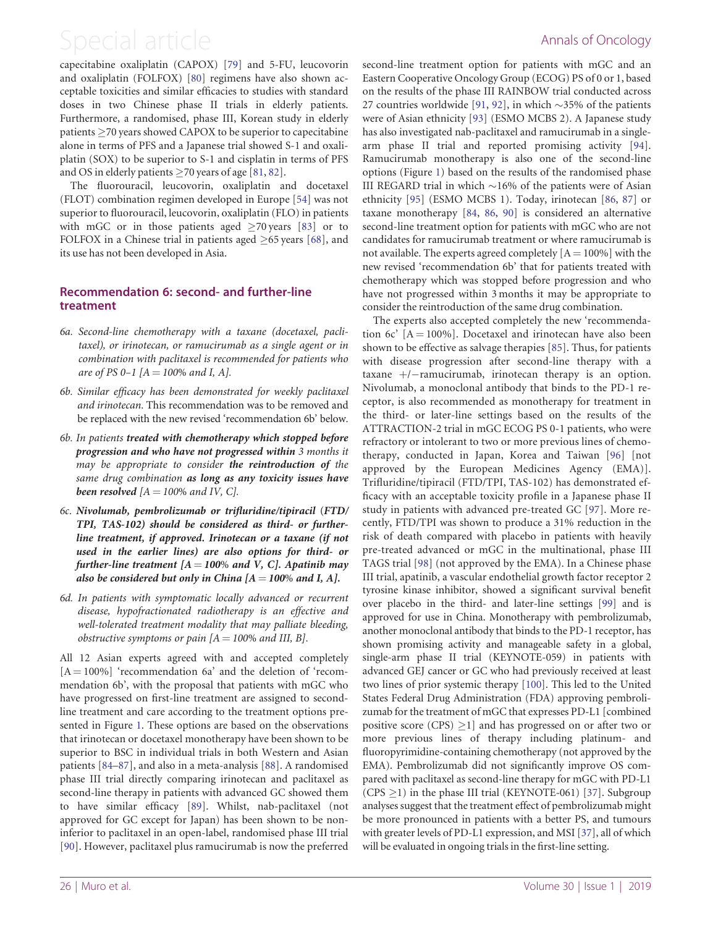<span id="page-7-0"></span>capecitabine oxaliplatin (CAPOX) [\[79](#page-12-0)] and 5-FU, leucovorin and oxaliplatin (FOLFOX) [[80](#page-12-0)] regimens have also shown acceptable toxicities and similar efficacies to studies with standard doses in two Chinese phase II trials in elderly patients. Furthermore, a randomised, phase III, Korean study in elderly patients  $\geq$  70 years showed CAPOX to be superior to capecitabine alone in terms of PFS and a Japanese trial showed S-1 and oxaliplatin (SOX) to be superior to S-1 and cisplatin in terms of PFS and OS in elderly patients  $\geq$  70 years of age [[81](#page-12-0), [82](#page-13-0)].

The fluorouracil, leucovorin, oxaliplatin and docetaxel (FLOT) combination regimen developed in Europe [\[54](#page-12-0)] was not superior to fluorouracil, leucovorin, oxaliplatin (FLO) in patients with mGC or in those patients aged  $\geq$ 70 years [\[83\]](#page-13-0) or to FOLFOX in a Chinese trial in patients aged  $\geq 65$  years [\[68](#page-12-0)], and its use has not been developed in Asia.

### Recommendation 6: second- and further-line treatment

- 6a. Second-line chemotherapy with a taxane (docetaxel, paclitaxel), or irinotecan, or ramucirumab as a single agent or in combination with paclitaxel is recommended for patients who are of PS 0-1 [ $A = 100\%$  and I, A].
- 6b. Similar efficacy has been demonstrated for weekly paclitaxel and irinotecan. This recommendation was to be removed and be replaced with the new revised 'recommendation 6b' below.
- 6b. In patients treated with chemotherapy which stopped before progression and who have not progressed within 3 months it may be appropriate to consider the reintroduction of the same drug combination as long as any toxicity issues have been resolved  $[A = 100\%$  and IV, C].
- 6c. Nivolumab, pembrolizumab or trifluridine/tipiracil (FTD/ TPI, TAS-102) should be considered as third- or furtherline treatment, if approved. Irinotecan or a taxane (if not used in the earlier lines) are also options for third- or further-line treatment  $[A = 100\%$  and V, C]. Apatinib may also be considered but only in China  $[A = 100\%$  and I, A].
- 6d. In patients with symptomatic locally advanced or recurrent disease, hypofractionated radiotherapy is an effective and well-tolerated treatment modality that may palliate bleeding, obstructive symptoms or pain  $[A = 100\%$  and III, B].

All 12 Asian experts agreed with and accepted completely  $[A = 100\%]$  'recommendation 6a' and the deletion of 'recommendation 6b', with the proposal that patients with mGC who have progressed on first-line treatment are assigned to secondline treatment and care according to the treatment options presented in Figure [1.](#page-6-0) These options are based on the observations that irinotecan or docetaxel monotherapy have been shown to be superior to BSC in individual trials in both Western and Asian patients [\[84](#page-13-0)–[87](#page-13-0)], and also in a meta-analysis [\[88](#page-13-0)]. A randomised phase III trial directly comparing irinotecan and paclitaxel as second-line therapy in patients with advanced GC showed them to have similar efficacy [\[89](#page-13-0)]. Whilst, nab-paclitaxel (not approved for GC except for Japan) has been shown to be noninferior to paclitaxel in an open-label, randomised phase III trial [[90\]](#page-13-0). However, paclitaxel plus ramucirumab is now the preferred second-line treatment option for patients with mGC and an Eastern Cooperative Oncology Group (ECOG) PS of 0 or 1, based on the results of the phase III RAINBOW trial conducted across 27 countries worldwide [[91,](#page-13-0) [92\]](#page-13-0), in which  $\sim$ 35% of the patients were of Asian ethnicity [\[93\]](#page-13-0) (ESMO MCBS 2). A Japanese study has also investigated nab-paclitaxel and ramucirumab in a singlearm phase II trial and reported promising activity [[94\]](#page-13-0). Ramucirumab monotherapy is also one of the second-line options (Figure [1](#page-6-0)) based on the results of the randomised phase III REGARD trial in which  $\sim$ 16% of the patients were of Asian ethnicity [[95\]](#page-13-0) (ESMO MCBS 1). Today, irinotecan [\[86](#page-13-0), [87](#page-13-0)] or taxane monotherapy [[84](#page-13-0), [86,](#page-13-0) [90](#page-13-0)] is considered an alternative second-line treatment option for patients with mGC who are not candidates for ramucirumab treatment or where ramucirumab is not available. The experts agreed completely  $[A = 100\%]$  with the new revised 'recommendation 6b' that for patients treated with chemotherapy which was stopped before progression and who have not progressed within 3 months it may be appropriate to consider the reintroduction of the same drug combination.

The experts also accepted completely the new 'recommendation 6c'  $[A = 100\%]$ . Docetaxel and irinotecan have also been shown to be effective as salvage therapies [[85\]](#page-13-0). Thus, for patients with disease progression after second-line therapy with a taxane  $+/-$ ramucirumab, irinotecan therapy is an option. Nivolumab, a monoclonal antibody that binds to the PD-1 receptor, is also recommended as monotherapy for treatment in the third- or later-line settings based on the results of the ATTRACTION-2 trial in mGC ECOG PS 0-1 patients, who were refractory or intolerant to two or more previous lines of chemotherapy, conducted in Japan, Korea and Taiwan [[96\]](#page-13-0) [not approved by the European Medicines Agency (EMA)]. Trifluridine/tipiracil (FTD/TPI, TAS-102) has demonstrated efficacy with an acceptable toxicity profile in a Japanese phase II study in patients with advanced pre-treated GC [\[97\]](#page-13-0). More recently, FTD/TPI was shown to produce a 31% reduction in the risk of death compared with placebo in patients with heavily pre-treated advanced or mGC in the multinational, phase III TAGS trial [[98\]](#page-13-0) (not approved by the EMA). In a Chinese phase III trial, apatinib, a vascular endothelial growth factor receptor 2 tyrosine kinase inhibitor, showed a significant survival benefit over placebo in the third- and later-line settings [[99\]](#page-13-0) and is approved for use in China. Monotherapy with pembrolizumab, another monoclonal antibody that binds to the PD-1 receptor, has shown promising activity and manageable safety in a global, single-arm phase II trial (KEYNOTE-059) in patients with advanced GEJ cancer or GC who had previously received at least two lines of prior systemic therapy [\[100\]](#page-13-0). This led to the United States Federal Drug Administration (FDA) approving pembrolizumab for the treatment of mGC that expresses PD-L1 [combined positive score (CPS)  $\geq$ 1] and has progressed on or after two or more previous lines of therapy including platinum- and fluoropyrimidine-containing chemotherapy (not approved by the EMA). Pembrolizumab did not significantly improve OS compared with paclitaxel as second-line therapy for mGC with PD-L1  $(CPS \geq 1)$  in the phase III trial (KEYNOTE-061) [[37\]](#page-11-0). Subgroup analyses suggest that the treatment effect of pembrolizumab might be more pronounced in patients with a better PS, and tumours with greater levels of PD-L1 expression, and MSI [[37\]](#page-11-0), all of which will be evaluated in ongoing trials in the first-line setting.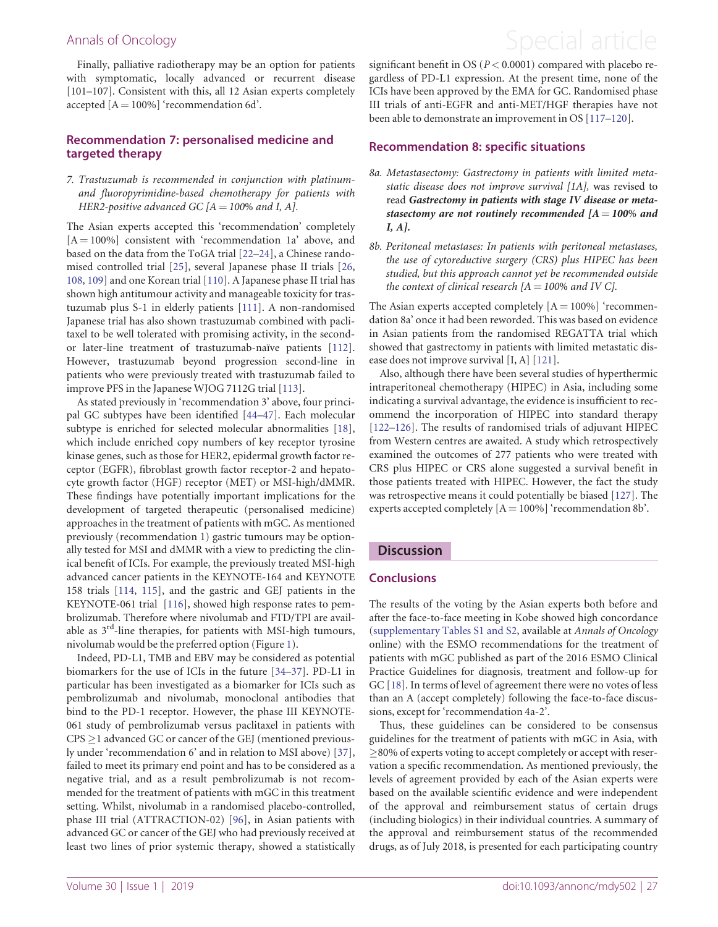Finally, palliative radiotherapy may be an option for patients with symptomatic, locally advanced or recurrent disease [101–107]. Consistent with this, all 12 Asian experts completely accepted  $[A = 100\%]$  'recommendation 6d'.

### Recommendation 7: personalised medicine and targeted therapy

#### 7. Trastuzumab is recommended in conjunction with platinumand fluoropyrimidine-based chemotherapy for patients with HER2-positive advanced GC  $[A = 100\%$  and I, A].

The Asian experts accepted this 'recommendation' completely  $[A = 100\%]$  consistent with 'recommendation 1a' above, and based on the data from the ToGA trial [\[22](#page-11-0)–[24](#page-11-0)], a Chinese randomised controlled trial [[25\]](#page-11-0), several Japanese phase II trials [[26,](#page-11-0) [108](#page-13-0), [109](#page-13-0)] and one Korean trial [[110](#page-13-0)]. A Japanese phase II trial has shown high antitumour activity and manageable toxicity for trastuzumab plus S-1 in elderly patients [\[111\]](#page-13-0). A non-randomised Japanese trial has also shown trastuzumab combined with paclitaxel to be well tolerated with promising activity, in the second-or later-line treatment of trastuzumab-naïve patients [\[112](#page-13-0)]. However, trastuzumab beyond progression second-line in patients who were previously treated with trastuzumab failed to improve PFS in the Japanese WJOG 7112G trial [[113](#page-13-0)].

As stated previously in 'recommendation 3' above, four principal GC subtypes have been identified [[44](#page-11-0)[–47\]](#page-12-0). Each molecular subtype is enriched for selected molecular abnormalities [[18](#page-11-0)], which include enriched copy numbers of key receptor tyrosine kinase genes, such as those for HER2, epidermal growth factor receptor (EGFR), fibroblast growth factor receptor-2 and hepatocyte growth factor (HGF) receptor (MET) or MSI-high/dMMR. These findings have potentially important implications for the development of targeted therapeutic (personalised medicine) approaches in the treatment of patients with mGC. As mentioned previously (recommendation 1) gastric tumours may be optionally tested for MSI and dMMR with a view to predicting the clinical benefit of ICIs. For example, the previously treated MSI-high advanced cancer patients in the KEYNOTE-164 and KEYNOTE 158 trials [[114,](#page-13-0) [115](#page-13-0)], and the gastric and GEJ patients in the KEYNOTE-061 trial [[116\]](#page-14-0), showed high response rates to pembrolizumab. Therefore where nivolumab and FTD/TPI are available as  $3<sup>rd</sup>$ -line therapies, for patients with MSI-high tumours, nivolumab would be the preferred option (Figure [1\)](#page-6-0).

Indeed, PD-L1, TMB and EBV may be considered as potential biomarkers for the use of ICIs in the future [[34–37\]](#page-11-0). PD-L1 in particular has been investigated as a biomarker for ICIs such as pembrolizumab and nivolumab, monoclonal antibodies that bind to the PD-1 receptor. However, the phase III KEYNOTE-061 study of pembrolizumab versus paclitaxel in patients with  $CPS \geq 1$  advanced GC or cancer of the GEJ (mentioned previously under 'recommendation 6' and in relation to MSI above) [[37](#page-11-0)], failed to meet its primary end point and has to be considered as a negative trial, and as a result pembrolizumab is not recommended for the treatment of patients with mGC in this treatment setting. Whilst, nivolumab in a randomised placebo-controlled, phase III trial (ATTRACTION-02) [[96\]](#page-13-0), in Asian patients with advanced GC or cancer of the GEJ who had previously received at least two lines of prior systemic therapy, showed a statistically

# <span id="page-8-0"></span>Annals of Oncology **Annals of Oncology Special article**

significant benefit in OS ( $P < 0.0001$ ) compared with placebo regardless of PD-L1 expression. At the present time, none of the ICIs have been approved by the EMA for GC. Randomised phase III trials of anti-EGFR and anti-MET/HGF therapies have not been able to demonstrate an improvement in OS [[117–120](#page-14-0)].

#### Recommendation 8: specific situations

- 8a. Metastasectomy: Gastrectomy in patients with limited metastatic disease does not improve survival [1A], was revised to read Gastrectomy in patients with stage IV disease or metastasectomy are not routinely recommended  $[A = 100\%$  and I, A].
- 8b. Peritoneal metastases: In patients with peritoneal metastases, the use of cytoreductive surgery (CRS) plus HIPEC has been studied, but this approach cannot yet be recommended outside the context of clinical research  $[A = 100\%$  and IV C].

The Asian experts accepted completely  $[A = 100\%]$  'recommendation 8a' once it had been reworded. This was based on evidence in Asian patients from the randomised REGATTA trial which showed that gastrectomy in patients with limited metastatic disease does not improve survival [I, A] [[121\]](#page-14-0).

Also, although there have been several studies of hyperthermic intraperitoneal chemotherapy (HIPEC) in Asia, including some indicating a survival advantage, the evidence is insufficient to recommend the incorporation of HIPEC into standard therapy [[122](#page-14-0)–[126\]](#page-14-0). The results of randomised trials of adjuvant HIPEC from Western centres are awaited. A study which retrospectively examined the outcomes of 277 patients who were treated with CRS plus HIPEC or CRS alone suggested a survival benefit in those patients treated with HIPEC. However, the fact the study was retrospective means it could potentially be biased [[127](#page-14-0)]. The experts accepted completely  $[A = 100\%]$  'recommendation 8b'.

#### **Discussion**

#### Conclusions

The results of the voting by the Asian experts both before and after the face-to-face meeting in Kobe showed high concordance ([supplementary Tables S1 and S2](https://academic.oup.com/annonc/article-lookup/doi/10.1093/annonc/mdy502#supplementary-data), available at Annals of Oncology online) with the ESMO recommendations for the treatment of patients with mGC published as part of the 2016 ESMO Clinical Practice Guidelines for diagnosis, treatment and follow-up for GC [\[18](#page-11-0)]. In terms of level of agreement there were no votes of less than an A (accept completely) following the face-to-face discussions, except for 'recommendation 4a-2'.

Thus, these guidelines can be considered to be consensus guidelines for the treatment of patients with mGC in Asia, with  $\geq$ 80% of experts voting to accept completely or accept with reservation a specific recommendation. As mentioned previously, the levels of agreement provided by each of the Asian experts were based on the available scientific evidence and were independent of the approval and reimbursement status of certain drugs (including biologics) in their individual countries. A summary of the approval and reimbursement status of the recommended drugs, as of July 2018, is presented for each participating country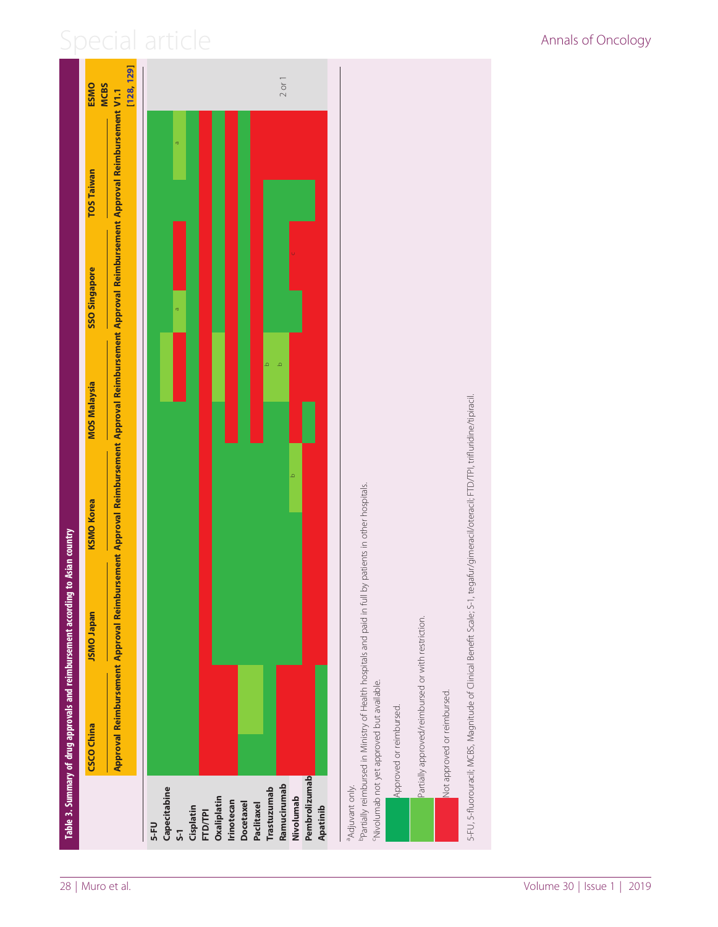<span id="page-9-0"></span>

<sup>b</sup>Partially reimbursed in Ministry of Health hospitals and paid in full by patients in other hospitals. bPartially reimbursed in Ministry of Health hospitals and paid in full by patients in other hospitals.

5-FU, 5-fluorouraci); MCBS, Magnitude of Clinical Benefit Scale; S-1, tegafur/gimeracil/oteracil; FTD/TPJ, trifluridine/tipiracil. 5-FU, 5-fluorouracil; MCBS, Magnitude of Clinical Benefit Scale; S-1, tegafur/gimeracil/oteracil; FTD/TPI, trifluridine/tipiracil. Partially approved/reimbursed or with restriction. Partially approved/reimbursed or with restriction. <sup>C</sup>Nivolumab not yet approved but available. cNivolumab not yet approved but available. lot approved or reimbursed. Not approved or reimbursed. Approved or reimbursed. Approved or reimbursed.

Table 3. Summary of drug approvals and reimbursement according to Asian country

Table 3. Summary of drug approvals and reimbursement according to Asian country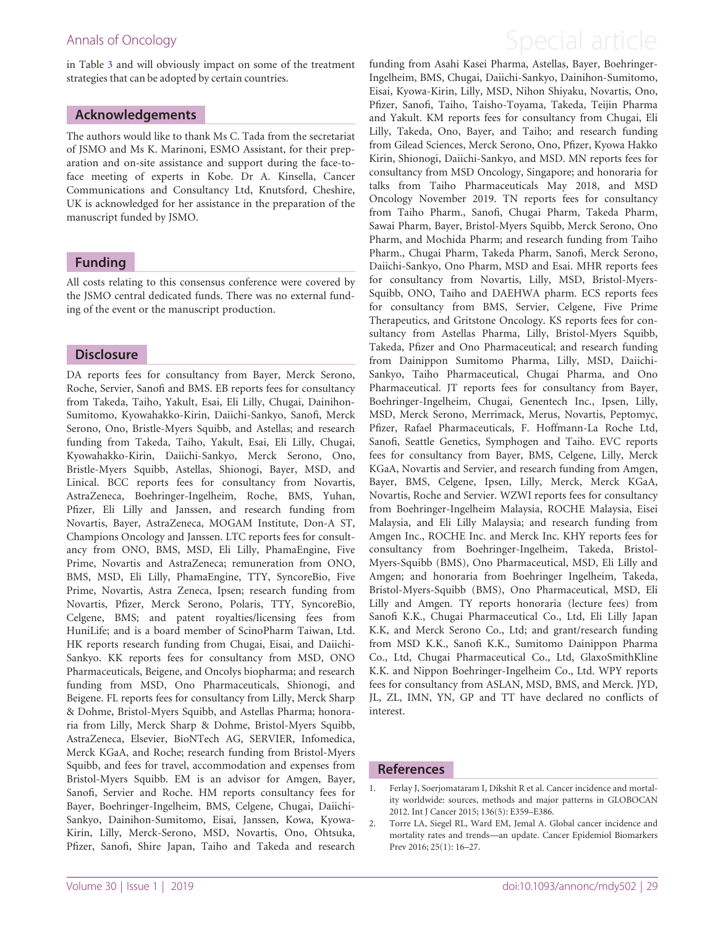in Table [3](#page-9-0) and will obviously impact on some of the treatment strategies that can be adopted by certain countries.

### Acknowledgements

The authors would like to thank Ms C. Tada from the secretariat of JSMO and Ms K. Marinoni, ESMO Assistant, for their preparation and on-site assistance and support during the face-toface meeting of experts in Kobe. Dr A. Kinsella, Cancer Communications and Consultancy Ltd, Knutsford, Cheshire, UK is acknowledged for her assistance in the preparation of the manuscript funded by JSMO.

### Funding

All costs relating to this consensus conference were covered by the JSMO central dedicated funds. There was no external funding of the event or the manuscript production.

### **Disclosure**

DA reports fees for consultancy from Bayer, Merck Serono, Roche, Servier, Sanofi and BMS. EB reports fees for consultancy from Takeda, Taiho, Yakult, Esai, Eli Lilly, Chugai, Dainihon-Sumitomo, Kyowahakko-Kirin, Daiichi-Sankyo, Sanofi, Merck Serono, Ono, Bristle-Myers Squibb, and Astellas; and research funding from Takeda, Taiho, Yakult, Esai, Eli Lilly, Chugai, Kyowahakko-Kirin, Daiichi-Sankyo, Merck Serono, Ono, Bristle-Myers Squibb, Astellas, Shionogi, Bayer, MSD, and Linical. BCC reports fees for consultancy from Novartis, AstraZeneca, Boehringer-Ingelheim, Roche, BMS, Yuhan, Pfizer, Eli Lilly and Janssen, and research funding from Novartis, Bayer, AstraZeneca, MOGAM Institute, Don-A ST, Champions Oncology and Janssen. LTC reports fees for consultancy from ONO, BMS, MSD, Eli Lilly, PhamaEngine, Five Prime, Novartis and AstraZeneca; remuneration from ONO, BMS, MSD, Eli Lilly, PhamaEngine, TTY, SyncoreBio, Five Prime, Novartis, Astra Zeneca, Ipsen; research funding from Novartis, Pfizer, Merck Serono, Polaris, TTY, SyncoreBio, Celgene, BMS; and patent royalties/licensing fees from HuniLife; and is a board member of ScinoPharm Taiwan, Ltd. HK reports research funding from Chugai, Eisai, and Daiichi-Sankyo. KK reports fees for consultancy from MSD, ONO Pharmaceuticals, Beigene, and Oncolys biopharma; and research funding from MSD, Ono Pharmaceuticals, Shionogi, and Beigene. FL reports fees for consultancy from Lilly, Merck Sharp & Dohme, Bristol-Myers Squibb, and Astellas Pharma; honoraria from Lilly, Merck Sharp & Dohme, Bristol-Myers Squibb, AstraZeneca, Elsevier, BioNTech AG, SERVIER, Infomedica, Merck KGaA, and Roche; research funding from Bristol-Myers Squibb, and fees for travel, accommodation and expenses from Bristol-Myers Squibb. EM is an advisor for Amgen, Bayer, Sanofi, Servier and Roche. HM reports consultancy fees for Bayer, Boehringer-Ingelheim, BMS, Celgene, Chugai, Daiichi-Sankyo, Dainihon-Sumitomo, Eisai, Janssen, Kowa, Kyowa-Kirin, Lilly, Merck-Serono, MSD, Novartis, Ono, Ohtsuka, Pfizer, Sanofi, Shire Japan, Taiho and Takeda and research

# <span id="page-10-0"></span>Annals of Oncology **Annals of Oncology Annals of Oncology Special article**

funding from Asahi Kasei Pharma, Astellas, Bayer, Boehringer-Ingelheim, BMS, Chugai, Daiichi-Sankyo, Dainihon-Sumitomo, Eisai, Kyowa-Kirin, Lilly, MSD, Nihon Shiyaku, Novartis, Ono, Pfizer, Sanofi, Taiho, Taisho-Toyama, Takeda, Teijin Pharma and Yakult. KM reports fees for consultancy from Chugai, Eli Lilly, Takeda, Ono, Bayer, and Taiho; and research funding from Gilead Sciences, Merck Serono, Ono, Pfizer, Kyowa Hakko Kirin, Shionogi, Daiichi-Sankyo, and MSD. MN reports fees for consultancy from MSD Oncology, Singapore; and honoraria for talks from Taiho Pharmaceuticals May 2018, and MSD Oncology November 2019. TN reports fees for consultancy from Taiho Pharm., Sanofi, Chugai Pharm, Takeda Pharm, Sawai Pharm, Bayer, Bristol-Myers Squibb, Merck Serono, Ono Pharm, and Mochida Pharm; and research funding from Taiho Pharm., Chugai Pharm, Takeda Pharm, Sanofi, Merck Serono, Daiichi-Sankyo, Ono Pharm, MSD and Esai. MHR reports fees for consultancy from Novartis, Lilly, MSD, Bristol-Myers-Squibb, ONO, Taiho and DAEHWA pharm. ECS reports fees for consultancy from BMS, Servier, Celgene, Five Prime Therapeutics, and Gritstone Oncology. KS reports fees for consultancy from Astellas Pharma, Lilly, Bristol-Myers Squibb, Takeda, Pfizer and Ono Pharmaceutical; and research funding from Dainippon Sumitomo Pharma, Lilly, MSD, Daiichi-Sankyo, Taiho Pharmaceutical, Chugai Pharma, and Ono Pharmaceutical. JT reports fees for consultancy from Bayer, Boehringer-Ingelheim, Chugai, Genentech Inc., Ipsen, Lilly, MSD, Merck Serono, Merrimack, Merus, Novartis, Peptomyc, Pfizer, Rafael Pharmaceuticals, F. Hoffmann-La Roche Ltd, Sanofi, Seattle Genetics, Symphogen and Taiho. EVC reports fees for consultancy from Bayer, BMS, Celgene, Lilly, Merck KGaA, Novartis and Servier, and research funding from Amgen, Bayer, BMS, Celgene, Ipsen, Lilly, Merck, Merck KGaA, Novartis, Roche and Servier. WZWI reports fees for consultancy from Boehringer-Ingelheim Malaysia, ROCHE Malaysia, Eisei Malaysia, and Eli Lilly Malaysia; and research funding from Amgen Inc., ROCHE Inc. and Merck Inc. KHY reports fees for consultancy from Boehringer-Ingelheim, Takeda, Bristol-Myers-Squibb (BMS), Ono Pharmaceutical, MSD, Eli Lilly and Amgen; and honoraria from Boehringer Ingelheim, Takeda, Bristol-Myers-Squibb (BMS), Ono Pharmaceutical, MSD, Eli Lilly and Amgen. TY reports honoraria (lecture fees) from Sanofi K.K., Chugai Pharmaceutical Co., Ltd, Eli Lilly Japan K.K, and Merck Serono Co., Ltd; and grant/research funding from MSD K.K., Sanofi K.K., Sumitomo Dainippon Pharma Co., Ltd, Chugai Pharmaceutical Co., Ltd, GlaxoSmithKline K.K. and Nippon Boehringer-Ingelheim Co., Ltd. WPY reports fees for consultancy from ASLAN, MSD, BMS, and Merck. JYD, JL, ZL, IMN, YN, GP and TT have declared no conflicts of interest.

### References

- [1.](#page-1-0) Ferlay J, Soerjomataram I, Dikshit R et al. Cancer incidence and mortality worldwide: sources, methods and major patterns in GLOBOCAN 2012. Int J Cancer 2015; 136(5): E359–E386.
- [2.](#page-1-0) Torre LA, Siegel RL, Ward EM, Jemal A. Global cancer incidence and mortality rates and trends—an update. Cancer Epidemiol Biomarkers Prev 2016; 25(1): 16–27.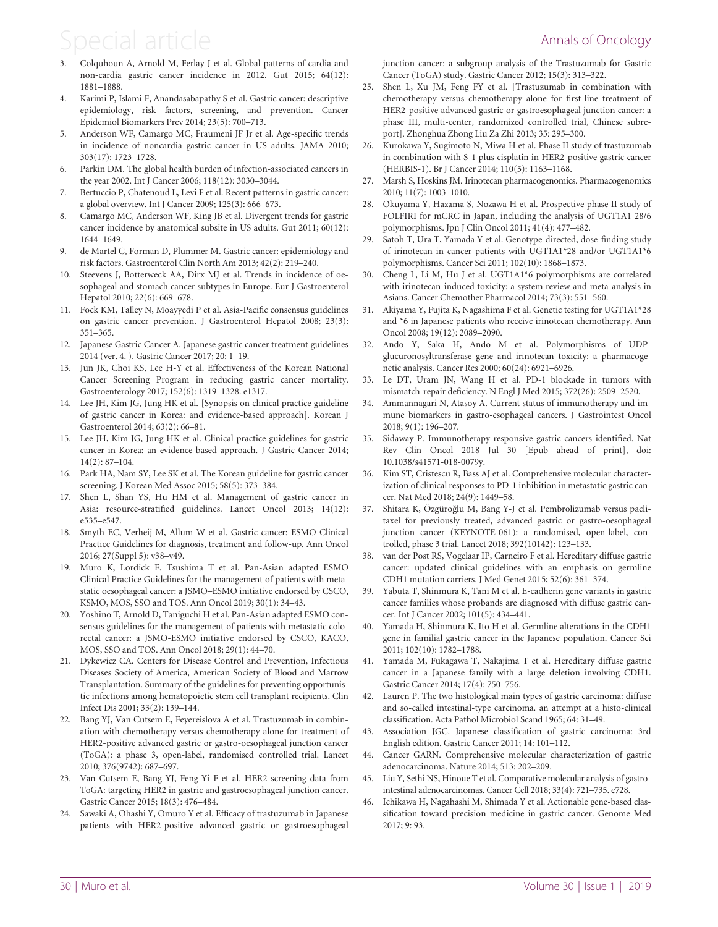- <span id="page-11-0"></span>[3.](#page-1-0) Colquhoun A, Arnold M, Ferlay J et al. Global patterns of cardia and non-cardia gastric cancer incidence in 2012. Gut 2015; 64(12): 1881–1888.
- [4.](#page-1-0) Karimi P, Islami F, Anandasabapathy S et al. Gastric cancer: descriptive epidemiology, risk factors, screening, and prevention. Cancer Epidemiol Biomarkers Prev 2014; 23(5): 700–713.
- [5.](#page-1-0) Anderson WF, Camargo MC, Fraumeni JF Jr et al. Age-specific trends in incidence of noncardia gastric cancer in US adults. JAMA 2010; 303(17): 1723–1728.
- [6.](#page-1-0) Parkin DM. The global health burden of infection-associated cancers in the year 2002. Int J Cancer 2006; 118(12): 3030–3044.
- [7.](#page-1-0) Bertuccio P, Chatenoud L, Levi F et al. Recent patterns in gastric cancer: a global overview. Int J Cancer 2009; 125(3): 666–673.
- 8. Camargo MC, Anderson WF, King JB et al. Divergent trends for gastric cancer incidence by anatomical subsite in US adults. Gut 2011; 60(12): 1644–1649.
- 9. de Martel C, Forman D, Plummer M. Gastric cancer: epidemiology and risk factors. Gastroenterol Clin North Am 2013; 42(2): 219–240.
- 10. Steevens J, Botterweck AA, Dirx MJ et al. Trends in incidence of oesophageal and stomach cancer subtypes in Europe. Eur J Gastroenterol Hepatol 2010; 22(6): 669–678.
- 11. Fock KM, Talley N, Moayyedi P et al. Asia-Pacific consensus guidelines on gastric cancer prevention. J Gastroenterol Hepatol 2008; 23(3): 351–365.
- [12.](#page-4-0) Japanese Gastric Cancer A. Japanese gastric cancer treatment guidelines 2014 (ver. 4. ). Gastric Cancer 2017; 20: 1–19.
- 13. Jun JK, Choi KS, Lee H-Y et al. Effectiveness of the Korean National Cancer Screening Program in reducing gastric cancer mortality. Gastroenterology 2017; 152(6): 1319–1328. e1317.
- [14.](#page-4-0) Lee JH, Kim JG, Jung HK et al. [Synopsis on clinical practice guideline of gastric cancer in Korea: and evidence-based approach]. Korean J Gastroenterol 2014; 63(2): 66–81.
- [15.](#page-4-0) Lee JH, Kim JG, Jung HK et al. Clinical practice guidelines for gastric cancer in Korea: an evidence-based approach. J Gastric Cancer 2014; 14(2): 87–104.
- 16. Park HA, Nam SY, Lee SK et al. The Korean guideline for gastric cancer screening. J Korean Med Assoc 2015; 58(5): 373–384.
- [17.](#page-6-0) Shen L, Shan YS, Hu HM et al. Management of gastric cancer in Asia: resource-stratified guidelines. Lancet Oncol 2013; 14(12): e535–e547.
- [18.](#page-1-0) Smyth EC, Verheij M, Allum W et al. Gastric cancer: ESMO Clinical Practice Guidelines for diagnosis, treatment and follow-up. Ann Oncol 2016; 27(Suppl 5): v38–v49.
- [19.](#page-1-0) Muro K, Lordick F. Tsushima T et al. Pan-Asian adapted ESMO Clinical Practice Guidelines for the management of patients with metastatic oesophageal cancer: a JSMO–ESMO initiative endorsed by CSCO, KSMO, MOS, SSO and TOS. Ann Oncol 2019; 30(1): 34–43.
- [20.](#page-1-0) Yoshino T, Arnold D, Taniguchi H et al. Pan-Asian adapted ESMO consensus guidelines for the management of patients with metastatic colorectal cancer: a JSMO-ESMO initiative endorsed by CSCO, KACO, MOS, SSO and TOS. Ann Oncol 2018; 29(1): 44–70.
- [21.](#page-1-0) Dykewicz CA. Centers for Disease Control and Prevention, Infectious Diseases Society of America, American Society of Blood and Marrow Transplantation. Summary of the guidelines for preventing opportunistic infections among hematopoietic stem cell transplant recipients. Clin Infect Dis 2001; 33(2): 139–144.
- [22.](#page-4-0) Bang YJ, Van Cutsem E, Feyereislova A et al. Trastuzumab in combination with chemotherapy versus chemotherapy alone for treatment of HER2-positive advanced gastric or gastro-oesophageal junction cancer (ToGA): a phase 3, open-label, randomised controlled trial. Lancet 2010; 376(9742): 687–697.
- [23.](#page-4-0) Van Cutsem E, Bang YJ, Feng-Yi F et al. HER2 screening data from ToGA: targeting HER2 in gastric and gastroesophageal junction cancer. Gastric Cancer 2015; 18(3): 476–484.
- [24.](#page-4-0) Sawaki A, Ohashi Y, Omuro Y et al. Efficacy of trastuzumab in Japanese patients with HER2-positive advanced gastric or gastroesophageal

junction cancer: a subgroup analysis of the Trastuzumab for Gastric Cancer (ToGA) study. Gastric Cancer 2012; 15(3): 313–322.

- [25.](#page-4-0) Shen L, Xu JM, Feng FY et al. [Trastuzumab in combination with chemotherapy versus chemotherapy alone for first-line treatment of HER2-positive advanced gastric or gastroesophageal junction cancer: a phase III, multi-center, randomized controlled trial, Chinese subreport]. Zhonghua Zhong Liu Za Zhi 2013; 35: 295–300.
- [26.](#page-4-0) Kurokawa Y, Sugimoto N, Miwa H et al. Phase II study of trastuzumab in combination with S-1 plus cisplatin in HER2-positive gastric cancer (HERBIS-1). Br J Cancer 2014; 110(5): 1163–1168.
- [27.](#page-4-0) Marsh S, Hoskins JM. Irinotecan pharmacogenomics. Pharmacogenomics 2010; 11(7): 1003–1010.
- [28.](#page-4-0) Okuyama Y, Hazama S, Nozawa H et al. Prospective phase II study of FOLFIRI for mCRC in Japan, including the analysis of UGT1A1 28/6 polymorphisms. Jpn J Clin Oncol 2011; 41(4): 477–482.
- [29.](#page-4-0) Satoh T, Ura T, Yamada Y et al. Genotype-directed, dose-finding study of irinotecan in cancer patients with UGT1A1\*28 and/or UGT1A1\*6 polymorphisms. Cancer Sci 2011; 102(10): 1868–1873.
- [30.](#page-4-0) Cheng L, Li M, Hu J et al. UGT1A1\*6 polymorphisms are correlated with irinotecan-induced toxicity: a system review and meta-analysis in Asians. Cancer Chemother Pharmacol 2014; 73(3): 551–560.
- [31.](#page-4-0) Akiyama Y, Fujita K, Nagashima F et al. Genetic testing for UGT1A1\*28 and \*6 in Japanese patients who receive irinotecan chemotherapy. Ann Oncol 2008; 19(12): 2089–2090.
- [32.](#page-4-0) Ando Y, Saka H, Ando M et al. Polymorphisms of UDPglucuronosyltransferase gene and irinotecan toxicity: a pharmacogenetic analysis. Cancer Res 2000; 60(24): 6921–6926.
- [33.](#page-4-0) Le DT, Uram JN, Wang H et al. PD-1 blockade in tumors with mismatch-repair deficiency. N Engl J Med 2015; 372(26): 2509–2520.
- 34. Ammannagari N, Atasoy A. Current status of immunotherapy and immune biomarkers in gastro-esophageal cancers. J Gastrointest Oncol 2018; 9(1): 196–207.
- 35. Sidaway P. Immunotherapy-responsive gastric cancers identified. Nat Rev Clin Oncol 2018 Jul 30 [Epub ahead of print], doi: 10.1038/s41571-018-0079y.
- [36.](#page-5-0) Kim ST, Cristescu R, Bass AJ et al. Comprehensive molecular characterization of clinical responses to PD-1 inhibition in metastatic gastric cancer. Nat Med 2018; 24(9): 1449–58.
- [37.](#page-7-0) Shitara K, Özgüroğlu M, Bang Y-J et al. Pembrolizumab versus paclitaxel for previously treated, advanced gastric or gastro-oesophageal junction cancer (KEYNOTE-061): a randomised, open-label, controlled, phase 3 trial. Lancet 2018; 392(10142): 123–133.
- [38.](#page-4-0) van der Post RS, Vogelaar IP, Carneiro F et al. Hereditary diffuse gastric cancer: updated clinical guidelines with an emphasis on germline CDH1 mutation carriers. J Med Genet 2015; 52(6): 361–374.
- 39. Yabuta T, Shinmura K, Tani M et al. E-cadherin gene variants in gastric cancer families whose probands are diagnosed with diffuse gastric cancer. Int J Cancer 2002; 101(5): 434–441.
- 40. Yamada H, Shinmura K, Ito H et al. Germline alterations in the CDH1 gene in familial gastric cancer in the Japanese population. Cancer Sci 2011; 102(10): 1782–1788.
- 41. Yamada M, Fukagawa T, Nakajima T et al. Hereditary diffuse gastric cancer in a Japanese family with a large deletion involving CDH1. Gastric Cancer 2014; 17(4): 750–756.
- [42.](#page-4-0) Lauren P. The two histological main types of gastric carcinoma: diffuse and so-called intestinal-type carcinoma. an attempt at a histo-clinical classification. Acta Pathol Microbiol Scand 1965; 64: 31–49.
- [43.](#page-4-0) Association JGC. Japanese classification of gastric carcinoma: 3rd English edition. Gastric Cancer 2011; 14: 101–112.
- [44.](#page-5-0) Cancer GARN. Comprehensive molecular characterization of gastric adenocarcinoma. Nature 2014; 513: 202–209.
- [45.](#page-5-0) Liu Y, Sethi NS, Hinoue T et al. Comparative molecular analysis of gastrointestinal adenocarcinomas. Cancer Cell 2018; 33(4): 721–735. e728.
- [46.](#page-5-0) Ichikawa H, Nagahashi M, Shimada Y et al. Actionable gene-based classification toward precision medicine in gastric cancer. Genome Med 2017; 9: 93.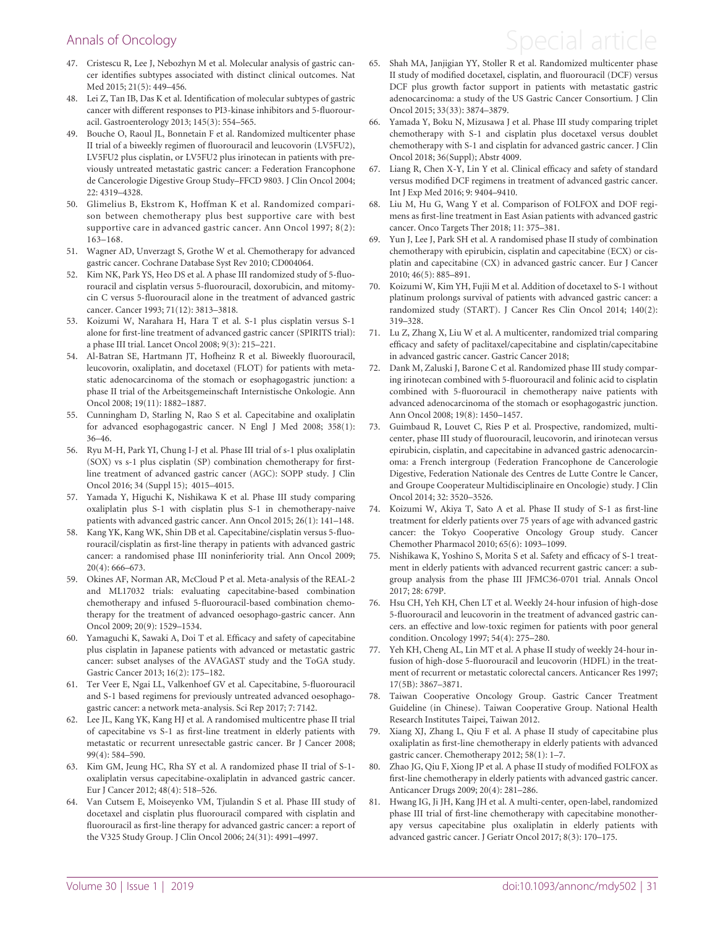### <span id="page-12-0"></span>Annals of Oncology and Special article

- [47](#page-5-0). Cristescu R, Lee J, Nebozhyn M et al. Molecular analysis of gastric cancer identifies subtypes associated with distinct clinical outcomes. Nat Med 2015; 21(5): 449–456.
- [48](#page-5-0). Lei Z, Tan IB, Das K et al. Identification of molecular subtypes of gastric cancer with different responses to PI3-kinase inhibitors and 5-fluorouracil. Gastroenterology 2013; 145(3): 554–565.
- 49. Bouche O, Raoul JL, Bonnetain F et al. Randomized multicenter phase II trial of a biweekly regimen of fluorouracil and leucovorin (LV5FU2), LV5FU2 plus cisplatin, or LV5FU2 plus irinotecan in patients with previously untreated metastatic gastric cancer: a Federation Francophone de Cancerologie Digestive Group Study–FFCD 9803. J Clin Oncol 2004; 22: 4319–4328.
- 50. Glimelius B, Ekstrom K, Hoffman K et al. Randomized comparison between chemotherapy plus best supportive care with best supportive care in advanced gastric cancer. Ann Oncol 1997; 8(2): 163–168.
- 51. Wagner AD, Unverzagt S, Grothe W et al. Chemotherapy for advanced gastric cancer. Cochrane Database Syst Rev 2010; CD004064.
- [52](#page-5-0). Kim NK, Park YS, Heo DS et al. A phase III randomized study of 5-fluorouracil and cisplatin versus 5-fluorouracil, doxorubicin, and mitomycin C versus 5-fluorouracil alone in the treatment of advanced gastric cancer. Cancer 1993; 71(12): 3813–3818.
- [53](#page-5-0). Koizumi W, Narahara H, Hara T et al. S-1 plus cisplatin versus S-1 alone for first-line treatment of advanced gastric cancer (SPIRITS trial): a phase III trial. Lancet Oncol 2008; 9(3): 215–221.
- [54](#page-7-0). Al-Batran SE, Hartmann JT, Hofheinz R et al. Biweekly fluorouracil, leucovorin, oxaliplatin, and docetaxel (FLOT) for patients with metastatic adenocarcinoma of the stomach or esophagogastric junction: a phase II trial of the Arbeitsgemeinschaft Internistische Onkologie. Ann Oncol 2008; 19(11): 1882–1887.
- [55](#page-5-0). Cunningham D, Starling N, Rao S et al. Capecitabine and oxaliplatin for advanced esophagogastric cancer. N Engl J Med 2008; 358(1): 36–46.
- 56. Ryu M-H, Park YI, Chung I-J et al. Phase III trial of s-1 plus oxaliplatin (SOX) vs s-1 plus cisplatin (SP) combination chemotherapy for firstline treatment of advanced gastric cancer (AGC): SOPP study. J Clin Oncol 2016; 34 (Suppl 15); 4015–4015.
- 57. Yamada Y, Higuchi K, Nishikawa K et al. Phase III study comparing oxaliplatin plus S-1 with cisplatin plus S-1 in chemotherapy-naive patients with advanced gastric cancer. Ann Oncol 2015; 26(1): 141–148.
- [58](#page-5-0). Kang YK, Kang WK, Shin DB et al. Capecitabine/cisplatin versus 5-fluorouracil/cisplatin as first-line therapy in patients with advanced gastric cancer: a randomised phase III noninferiority trial. Ann Oncol 2009; 20(4): 666–673.
- [59](#page-5-0). Okines AF, Norman AR, McCloud P et al. Meta-analysis of the REAL-2 and ML17032 trials: evaluating capecitabine-based combination chemotherapy and infused 5-fluorouracil-based combination chemotherapy for the treatment of advanced oesophago-gastric cancer. Ann Oncol 2009; 20(9): 1529–1534.
- [60](#page-5-0). Yamaguchi K, Sawaki A, Doi T et al. Efficacy and safety of capecitabine plus cisplatin in Japanese patients with advanced or metastatic gastric cancer: subset analyses of the AVAGAST study and the ToGA study. Gastric Cancer 2013; 16(2): 175–182.
- [61](#page-5-0). Ter Veer E, Ngai LL, Valkenhoef GV et al. Capecitabine, 5-fluorouracil and S-1 based regimens for previously untreated advanced oesophagogastric cancer: a network meta-analysis. Sci Rep 2017; 7: 7142.
- [62](#page-5-0). Lee JL, Kang YK, Kang HJ et al. A randomised multicentre phase II trial of capecitabine vs S-1 as first-line treatment in elderly patients with metastatic or recurrent unresectable gastric cancer. Br J Cancer 2008; 99(4): 584–590.
- [63](#page-5-0). Kim GM, Jeung HC, Rha SY et al. A randomized phase II trial of S-1 oxaliplatin versus capecitabine-oxaliplatin in advanced gastric cancer. Eur J Cancer 2012; 48(4): 518–526.
- [64](#page-5-0). Van Cutsem E, Moiseyenko VM, Tjulandin S et al. Phase III study of docetaxel and cisplatin plus fluorouracil compared with cisplatin and fluorouracil as first-line therapy for advanced gastric cancer: a report of the V325 Study Group. J Clin Oncol 2006; 24(31): 4991–4997.
- [65.](#page-5-0) Shah MA, Janjigian YY, Stoller R et al. Randomized multicenter phase II study of modified docetaxel, cisplatin, and fluorouracil (DCF) versus DCF plus growth factor support in patients with metastatic gastric adenocarcinoma: a study of the US Gastric Cancer Consortium. J Clin Oncol 2015; 33(33): 3874–3879.
- [66.](#page-5-0) Yamada Y, Boku N, Mizusawa J et al. Phase III study comparing triplet chemotherapy with S-1 and cisplatin plus docetaxel versus doublet chemotherapy with S-1 and cisplatin for advanced gastric cancer. J Clin Oncol 2018; 36(Suppl); Abstr 4009.
- Liang R, Chen X-Y, Lin Y et al. Clinical efficacy and safety of standard versus modified DCF regimens in treatment of advanced gastric cancer. Int J Exp Med 2016; 9: 9404–9410.
- [68.](#page-5-0) Liu M, Hu G, Wang Y et al. Comparison of FOLFOX and DOF regimens as first-line treatment in East Asian patients with advanced gastric cancer. Onco Targets Ther 2018; 11: 375–381.
- [69.](#page-5-0) Yun J, Lee J, Park SH et al. A randomised phase II study of combination chemotherapy with epirubicin, cisplatin and capecitabine (ECX) or cisplatin and capecitabine (CX) in advanced gastric cancer. Eur J Cancer 2010; 46(5): 885–891.
- [70.](#page-5-0) Koizumi W, Kim YH, Fujii M et al. Addition of docetaxel to S-1 without platinum prolongs survival of patients with advanced gastric cancer: a randomized study (START). J Cancer Res Clin Oncol 2014; 140(2): 319–328.
- [71.](#page-5-0) Lu Z, Zhang X, Liu W et al. A multicenter, randomized trial comparing efficacy and safety of paclitaxel/capecitabine and cisplatin/capecitabine in advanced gastric cancer. Gastric Cancer 2018;
- [72.](#page-5-0) Dank M, Zaluski J, Barone C et al. Randomized phase III study comparing irinotecan combined with 5-fluorouracil and folinic acid to cisplatin combined with 5-fluorouracil in chemotherapy naive patients with advanced adenocarcinoma of the stomach or esophagogastric junction. Ann Oncol 2008; 19(8): 1450–1457.
- [73.](#page-5-0) Guimbaud R, Louvet C, Ries P et al. Prospective, randomized, multicenter, phase III study of fluorouracil, leucovorin, and irinotecan versus epirubicin, cisplatin, and capecitabine in advanced gastric adenocarcinoma: a French intergroup (Federation Francophone de Cancerologie Digestive, Federation Nationale des Centres de Lutte Contre le Cancer, and Groupe Cooperateur Multidisciplinaire en Oncologie) study. J Clin Oncol 2014; 32: 3520–3526.
- [74.](#page-6-0) Koizumi W, Akiya T, Sato A et al. Phase II study of S-1 as first-line treatment for elderly patients over 75 years of age with advanced gastric cancer: the Tokyo Cooperative Oncology Group study. Cancer Chemother Pharmacol 2010; 65(6): 1093–1099.
- [75.](#page-6-0) Nishikawa K, Yoshino S, Morita S et al. Safety and efficacy of S-1 treatment in elderly patients with advanced recurrent gastric cancer: a subgroup analysis from the phase III JFMC36-0701 trial. Annals Oncol 2017; 28: 679P.
- [76.](#page-6-0) Hsu CH, Yeh KH, Chen LT et al. Weekly 24-hour infusion of high-dose 5-fluorouracil and leucovorin in the treatment of advanced gastric cancers. an effective and low-toxic regimen for patients with poor general condition. Oncology 1997; 54(4): 275–280.
- [77.](#page-6-0) Yeh KH, Cheng AL, Lin MT et al. A phase II study of weekly 24-hour infusion of high-dose 5-fluorouracil and leucovorin (HDFL) in the treatment of recurrent or metastatic colorectal cancers. Anticancer Res 1997; 17(5B): 3867–3871.
- [78.](#page-6-0) Taiwan Cooperative Oncology Group. Gastric Cancer Treatment Guideline (in Chinese). Taiwan Cooperative Group. National Health Research Institutes Taipei, Taiwan 2012.
- [79.](#page-7-0) Xiang XJ, Zhang L, Qiu F et al. A phase II study of capecitabine plus oxaliplatin as first-line chemotherapy in elderly patients with advanced gastric cancer. Chemotherapy 2012; 58(1): 1–7.
- [80.](#page-7-0) Zhao JG, Qiu F, Xiong JP et al. A phase II study of modified FOLFOX as first-line chemotherapy in elderly patients with advanced gastric cancer. Anticancer Drugs 2009; 20(4): 281–286.
- [81.](#page-7-0) Hwang IG, Ji JH, Kang JH et al. A multi-center, open-label, randomized phase III trial of first-line chemotherapy with capecitabine monotherapy versus capecitabine plus oxaliplatin in elderly patients with advanced gastric cancer. J Geriatr Oncol 2017; 8(3): 170–175.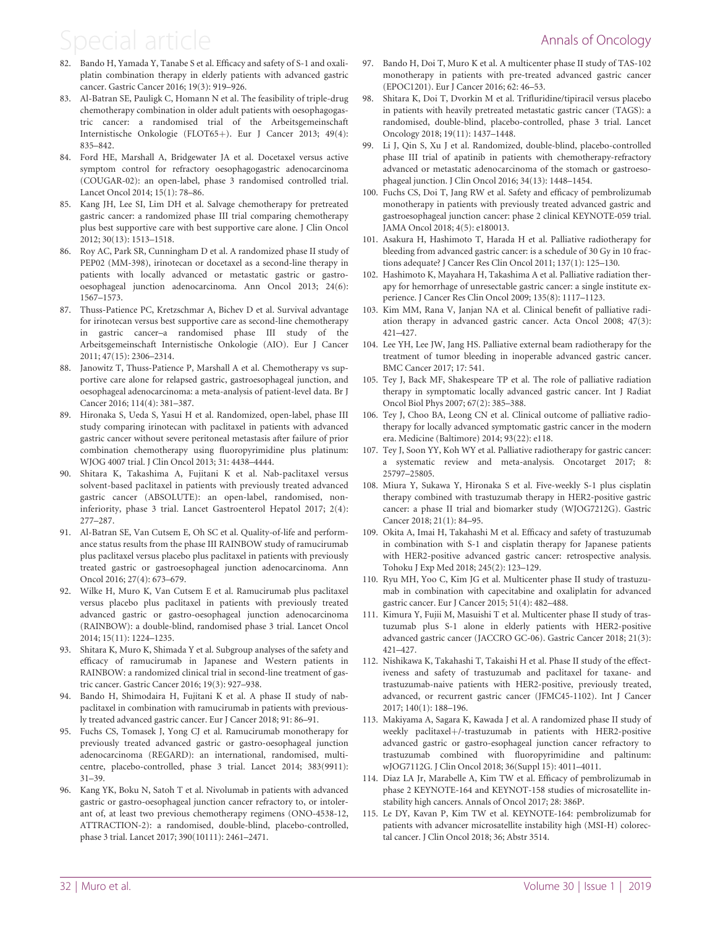- <span id="page-13-0"></span>[82.](#page-7-0) Bando H, Yamada Y, Tanabe S et al. Efficacy and safety of S-1 and oxaliplatin combination therapy in elderly patients with advanced gastric cancer. Gastric Cancer 2016; 19(3): 919–926.
- [83.](#page-7-0) Al-Batran SE, Pauligk C, Homann N et al. The feasibility of triple-drug chemotherapy combination in older adult patients with oesophagogastric cancer: a randomised trial of the Arbeitsgemeinschaft Internistische Onkologie (FLOT65+). Eur J Cancer 2013; 49(4): 835–842.
- [84.](#page-7-0) Ford HE, Marshall A, Bridgewater JA et al. Docetaxel versus active symptom control for refractory oesophagogastric adenocarcinoma (COUGAR-02): an open-label, phase 3 randomised controlled trial. Lancet Oncol 2014; 15(1): 78–86.
- [85.](#page-7-0) Kang JH, Lee SI, Lim DH et al. Salvage chemotherapy for pretreated gastric cancer: a randomized phase III trial comparing chemotherapy plus best supportive care with best supportive care alone. J Clin Oncol 2012; 30(13): 1513–1518.
- [86.](#page-7-0) Roy AC, Park SR, Cunningham D et al. A randomized phase II study of PEP02 (MM-398), irinotecan or docetaxel as a second-line therapy in patients with locally advanced or metastatic gastric or gastrooesophageal junction adenocarcinoma. Ann Oncol 2013; 24(6): 1567–1573.
- [87.](#page-7-0) Thuss-Patience PC, Kretzschmar A, Bichev D et al. Survival advantage for irinotecan versus best supportive care as second-line chemotherapy in gastric cancer–a randomised phase III study of the Arbeitsgemeinschaft Internistische Onkologie (AIO). Eur J Cancer 2011; 47(15): 2306–2314.
- [88.](#page-7-0) Janowitz T, Thuss-Patience P, Marshall A et al. Chemotherapy vs supportive care alone for relapsed gastric, gastroesophageal junction, and oesophageal adenocarcinoma: a meta-analysis of patient-level data. Br J Cancer 2016; 114(4): 381–387.
- [89.](#page-7-0) Hironaka S, Ueda S, Yasui H et al. Randomized, open-label, phase III study comparing irinotecan with paclitaxel in patients with advanced gastric cancer without severe peritoneal metastasis after failure of prior combination chemotherapy using fluoropyrimidine plus platinum: WJOG 4007 trial. J Clin Oncol 2013; 31: 4438–4444.
- [90.](#page-7-0) Shitara K, Takashima A, Fujitani K et al. Nab-paclitaxel versus solvent-based paclitaxel in patients with previously treated advanced gastric cancer (ABSOLUTE): an open-label, randomised, noninferiority, phase 3 trial. Lancet Gastroenterol Hepatol 2017; 2(4): 277–287.
- [91.](#page-7-0) Al-Batran SE, Van Cutsem E, Oh SC et al. Quality-of-life and performance status results from the phase III RAINBOW study of ramucirumab plus paclitaxel versus placebo plus paclitaxel in patients with previously treated gastric or gastroesophageal junction adenocarcinoma. Ann Oncol 2016; 27(4): 673–679.
- [92.](#page-7-0) Wilke H, Muro K, Van Cutsem E et al. Ramucirumab plus paclitaxel versus placebo plus paclitaxel in patients with previously treated advanced gastric or gastro-oesophageal junction adenocarcinoma (RAINBOW): a double-blind, randomised phase 3 trial. Lancet Oncol 2014; 15(11): 1224–1235.
- [93.](#page-7-0) Shitara K, Muro K, Shimada Y et al. Subgroup analyses of the safety and efficacy of ramucirumab in Japanese and Western patients in RAINBOW: a randomized clinical trial in second-line treatment of gastric cancer. Gastric Cancer 2016; 19(3): 927–938.
- [94.](#page-7-0) Bando H, Shimodaira H, Fujitani K et al. A phase II study of nabpaclitaxel in combination with ramucirumab in patients with previously treated advanced gastric cancer. Eur J Cancer 2018; 91: 86–91.
- [95.](#page-7-0) Fuchs CS, Tomasek J, Yong CJ et al. Ramucirumab monotherapy for previously treated advanced gastric or gastro-oesophageal junction adenocarcinoma (REGARD): an international, randomised, multicentre, placebo-controlled, phase 3 trial. Lancet 2014; 383(9911): 31–39.
- [96.](#page-7-0) Kang YK, Boku N, Satoh T et al. Nivolumab in patients with advanced gastric or gastro-oesophageal junction cancer refractory to, or intolerant of, at least two previous chemotherapy regimens (ONO-4538-12, ATTRACTION-2): a randomised, double-blind, placebo-controlled, phase 3 trial. Lancet 2017; 390(10111): 2461–2471.
- [97.](#page-7-0) Bando H, Doi T, Muro K et al. A multicenter phase II study of TAS-102 monotherapy in patients with pre-treated advanced gastric cancer (EPOC1201). Eur J Cancer 2016; 62: 46–53.
- [98.](#page-7-0) Shitara K, Doi T, Dvorkin M et al. Trifluridine/tipiracil versus placebo in patients with heavily pretreated metastatic gastric cancer (TAGS): a randomised, double-blind, placebo-controlled, phase 3 trial. Lancet Oncology 2018; 19(11): 1437–1448.
- Li J, Qin S, Xu J et al. Randomized, double-blind, placebo-controlled phase III trial of apatinib in patients with chemotherapy-refractory advanced or metastatic adenocarcinoma of the stomach or gastroesophageal junction. J Clin Oncol 2016; 34(13): 1448–1454.
- [100.](#page-7-0) Fuchs CS, Doi T, Jang RW et al. Safety and efficacy of pembrolizumab monotherapy in patients with previously treated advanced gastric and gastroesophageal junction cancer: phase 2 clinical KEYNOTE-059 trial. JAMA Oncol 2018; 4(5): e180013.
- 101. Asakura H, Hashimoto T, Harada H et al. Palliative radiotherapy for bleeding from advanced gastric cancer: is a schedule of 30 Gy in 10 fractions adequate? J Cancer Res Clin Oncol 2011; 137(1): 125–130.
- 102. Hashimoto K, Mayahara H, Takashima A et al. Palliative radiation therapy for hemorrhage of unresectable gastric cancer: a single institute experience. J Cancer Res Clin Oncol 2009; 135(8): 1117–1123.
- 103. Kim MM, Rana V, Janjan NA et al. Clinical benefit of palliative radiation therapy in advanced gastric cancer. Acta Oncol 2008; 47(3): 421–427.
- 104. Lee YH, Lee JW, Jang HS. Palliative external beam radiotherapy for the treatment of tumor bleeding in inoperable advanced gastric cancer. BMC Cancer 2017; 17: 541.
- 105. Tey J, Back MF, Shakespeare TP et al. The role of palliative radiation therapy in symptomatic locally advanced gastric cancer. Int J Radiat Oncol Biol Phys 2007; 67(2): 385–388.
- 106. Tey J, Choo BA, Leong CN et al. Clinical outcome of palliative radiotherapy for locally advanced symptomatic gastric cancer in the modern era. Medicine (Baltimore) 2014; 93(22): e118.
- 107. Tey J, Soon YY, Koh WY et al. Palliative radiotherapy for gastric cancer: a systematic review and meta-analysis. Oncotarget 2017; 8: 25797–25805.
- [108.](#page-8-0) Miura Y, Sukawa Y, Hironaka S et al. Five-weekly S-1 plus cisplatin therapy combined with trastuzumab therapy in HER2-positive gastric cancer: a phase II trial and biomarker study (WJOG7212G). Gastric Cancer 2018; 21(1): 84–95.
- [109.](#page-8-0) Okita A, Imai H, Takahashi M et al. Efficacy and safety of trastuzumab in combination with S-1 and cisplatin therapy for Japanese patients with HER2-positive advanced gastric cancer: retrospective analysis. Tohoku J Exp Med 2018; 245(2): 123–129.
- [110.](#page-8-0) Ryu MH, Yoo C, Kim JG et al. Multicenter phase II study of trastuzumab in combination with capecitabine and oxaliplatin for advanced gastric cancer. Eur J Cancer 2015; 51(4): 482–488.
- [111.](#page-8-0) Kimura Y, Fujii M, Masuishi T et al. Multicenter phase II study of trastuzumab plus S-1 alone in elderly patients with HER2-positive advanced gastric cancer (JACCRO GC-06). Gastric Cancer 2018; 21(3): 421–427.
- [112.](#page-8-0) Nishikawa K, Takahashi T, Takaishi H et al. Phase II study of the effectiveness and safety of trastuzumab and paclitaxel for taxane- and trastuzumab-naive patients with HER2-positive, previously treated, advanced, or recurrent gastric cancer (JFMC45-1102). Int J Cancer 2017; 140(1): 188–196.
- [113.](#page-8-0) Makiyama A, Sagara K, Kawada J et al. A randomized phase II study of weekly paclitaxel+/-trastuzumab in patients with HER2-positive advanced gastric or gastro-esophageal junction cancer refractory to trastuzumab combined with fluoropyrimidine and paltinum: wJOG7112G. J Clin Oncol 2018; 36(Suppl 15): 4011–4011.
- [114.](#page-8-0) Diaz LA Jr, Marabelle A, Kim TW et al. Efficacy of pembrolizumab in phase 2 KEYNOTE-164 and KEYNOT-158 studies of microsatellite instability high cancers. Annals of Oncol 2017; 28: 386P.
- [115.](#page-8-0) Le DY, Kavan P, Kim TW et al. KEYNOTE-164: pembrolizumab for patients with advancer microsatellite instability high (MSI-H) colorectal cancer. J Clin Oncol 2018; 36; Abstr 3514.